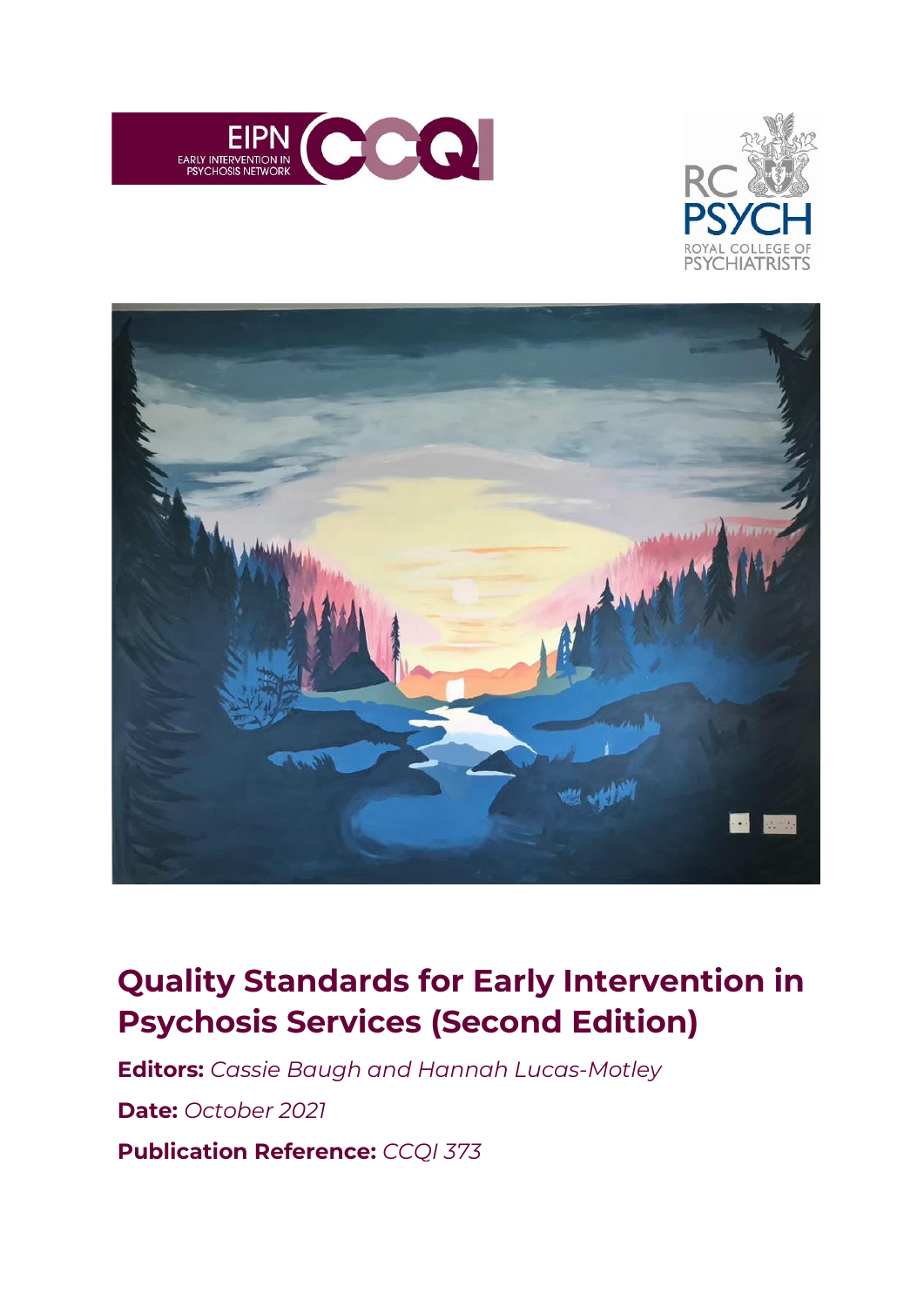





# **Quality Standards for Early Intervention in Psychosis Services (Second Edition)**

**Editors:** *Cassie Baugh and Hannah Lucas-Motley*

**Date:** *October 2021*

**Publication Reference:** *CCQI 373*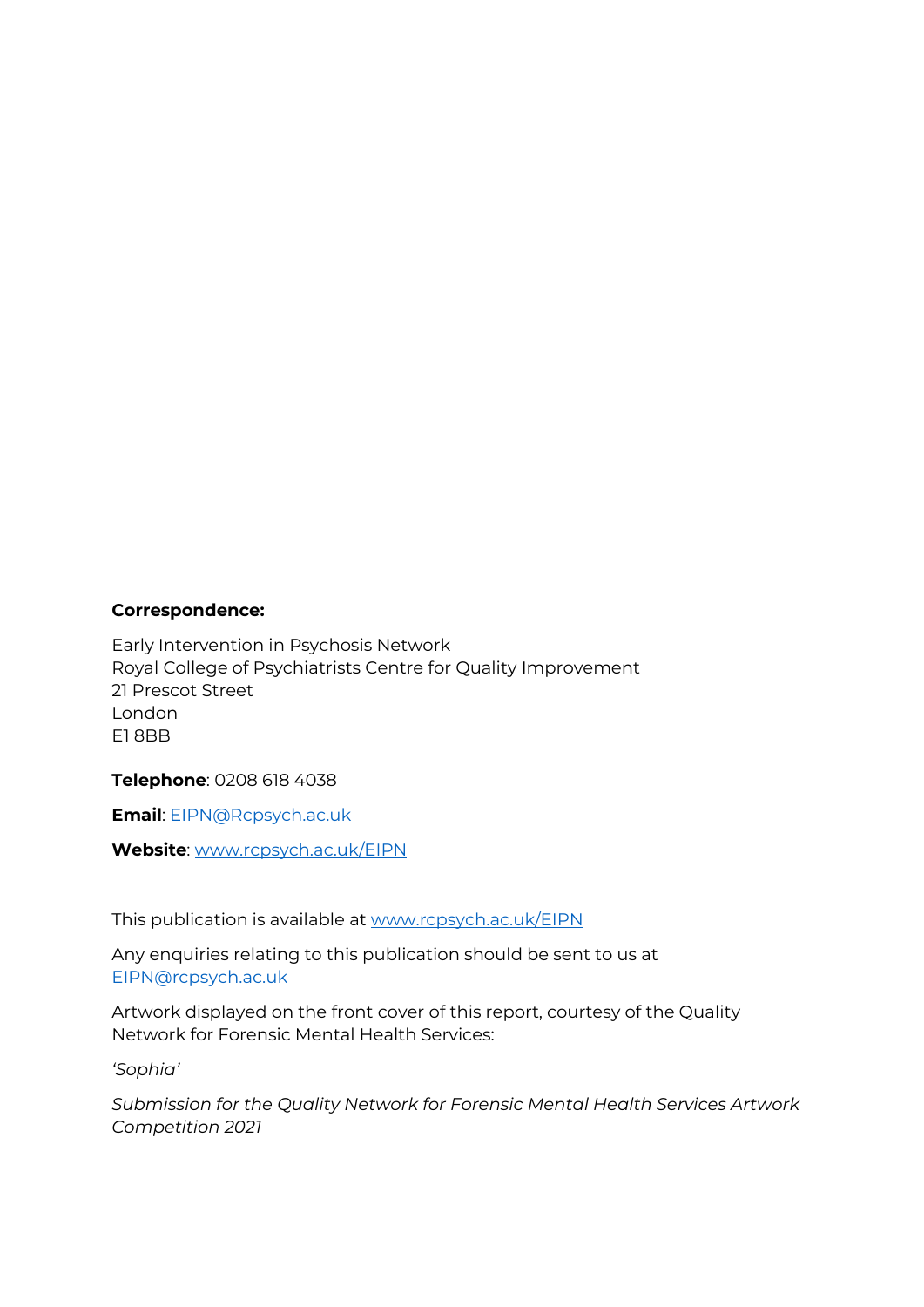#### **Correspondence:**

Early Intervention in Psychosis Network Royal College of Psychiatrists Centre for Quality Improvement 21 Prescot Street London E1 8BB

**Telephone**: 0208 618 4038

**Email**: [EIPN@Rcpsych.ac.uk](mailto:EIPN@Rcpsych.ac.uk)

**Website**: [www.rcpsych.ac.uk/EIPN](http://www.rcpsych.ac.uk/EIPN)

This publication is available at [www.rcpsych.ac.uk/EIPN](http://www.rcpsych.ac.uk/EIPN)

Any enquiries relating to this publication should be sent to us at [EIPN@rcpsych.ac.uk](mailto:EIPN@rcpsych.ac.uk)

Artwork displayed on the front cover of this report, courtesy of the Quality Network for Forensic Mental Health Services:

*'Sophia'*

*Submission for the Quality Network for Forensic Mental Health Services Artwork Competition 2021*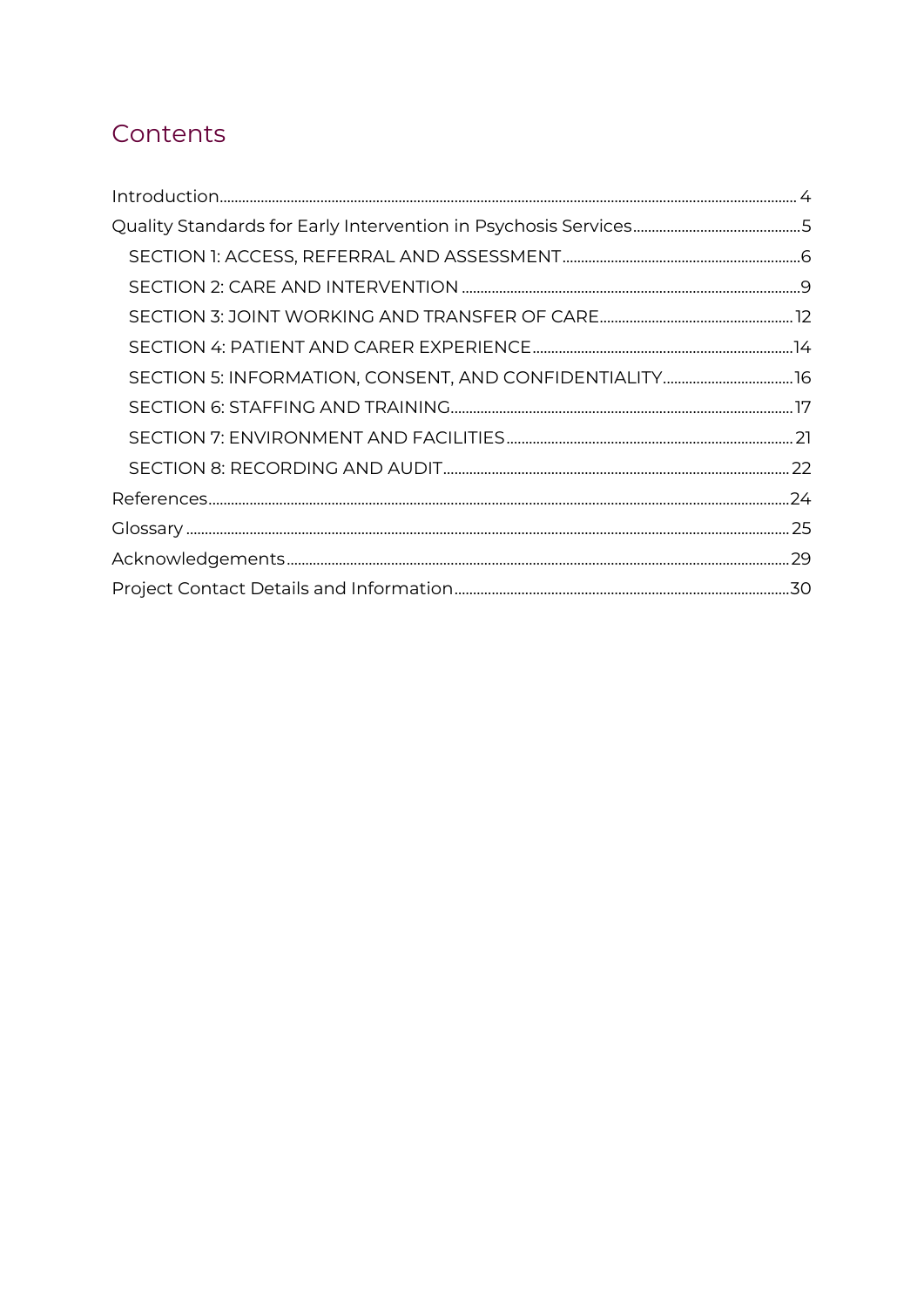# Contents

| SECTION 5: INFORMATION, CONSENT, AND CONFIDENTIALITY 16 |  |
|---------------------------------------------------------|--|
|                                                         |  |
|                                                         |  |
|                                                         |  |
|                                                         |  |
|                                                         |  |
|                                                         |  |
|                                                         |  |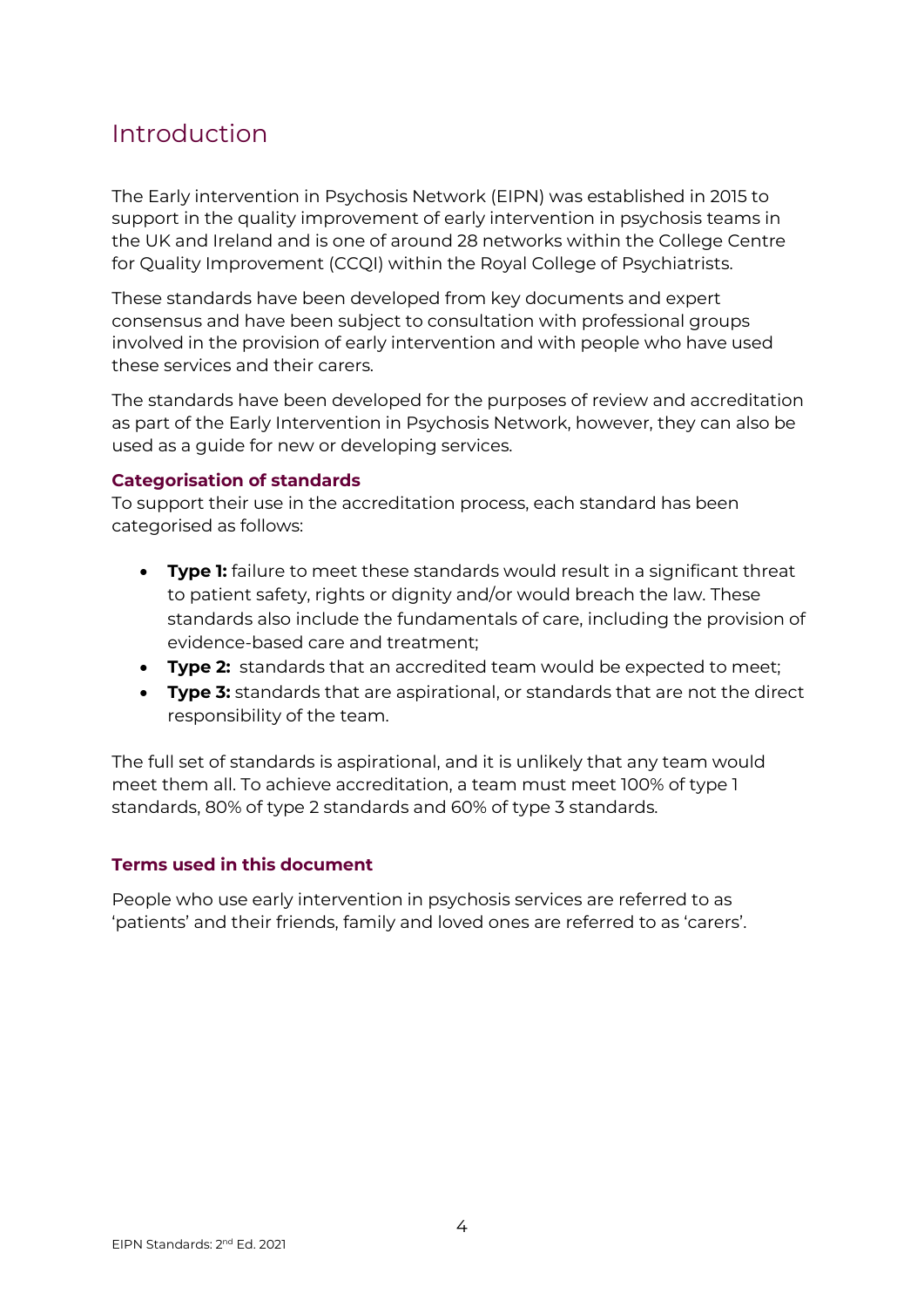### <span id="page-3-0"></span>Introduction

The Early intervention in Psychosis Network (EIPN) was established in 2015 to support in the quality improvement of early intervention in psychosis teams in the UK and Ireland and is one of around 28 networks within the College Centre for Quality Improvement (CCQI) within the Royal College of Psychiatrists.

These standards have been developed from key documents and expert consensus and have been subject to consultation with professional groups involved in the provision of early intervention and with people who have used these services and their carers.

The standards have been developed for the purposes of review and accreditation as part of the Early Intervention in Psychosis Network, however, they can also be used as a guide for new or developing services.

#### **Categorisation of standards**

To support their use in the accreditation process, each standard has been categorised as follows:

- **Type 1:** failure to meet these standards would result in a significant threat to patient safety, rights or dignity and/or would breach the law. These standards also include the fundamentals of care, including the provision of evidence-based care and treatment;
- **Type 2:** standards that an accredited team would be expected to meet;
- **Type 3:** standards that are aspirational, or standards that are not the direct responsibility of the team.

The full set of standards is aspirational, and it is unlikely that any team would meet them all. To achieve accreditation, a team must meet 100% of type 1 standards, 80% of type 2 standards and 60% of type 3 standards.

#### **Terms used in this document**

People who use early intervention in psychosis services are referred to as 'patients' and their friends, family and loved ones are referred to as 'carers'.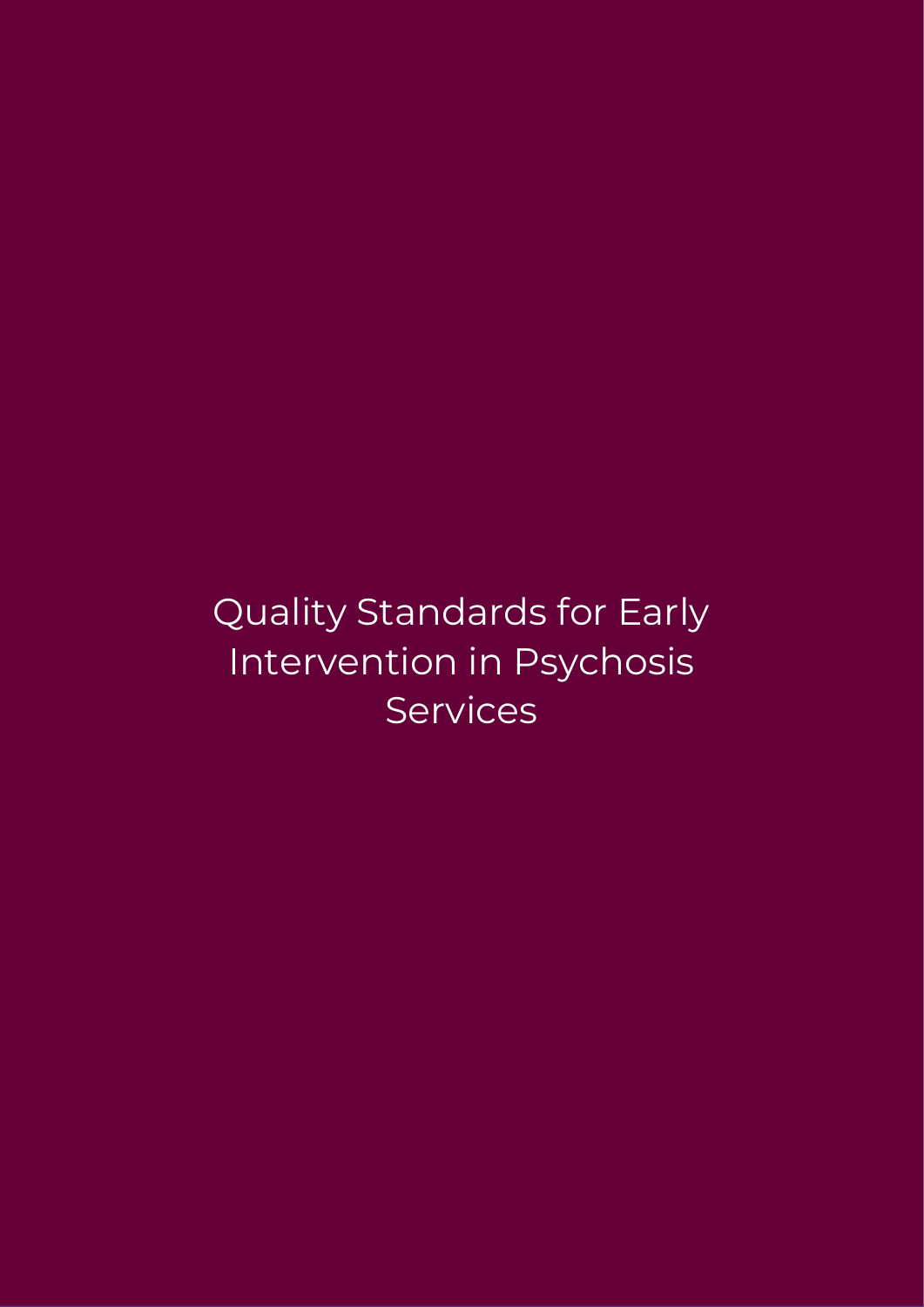Quality Standards for Early Intervention in Psychosis **Services**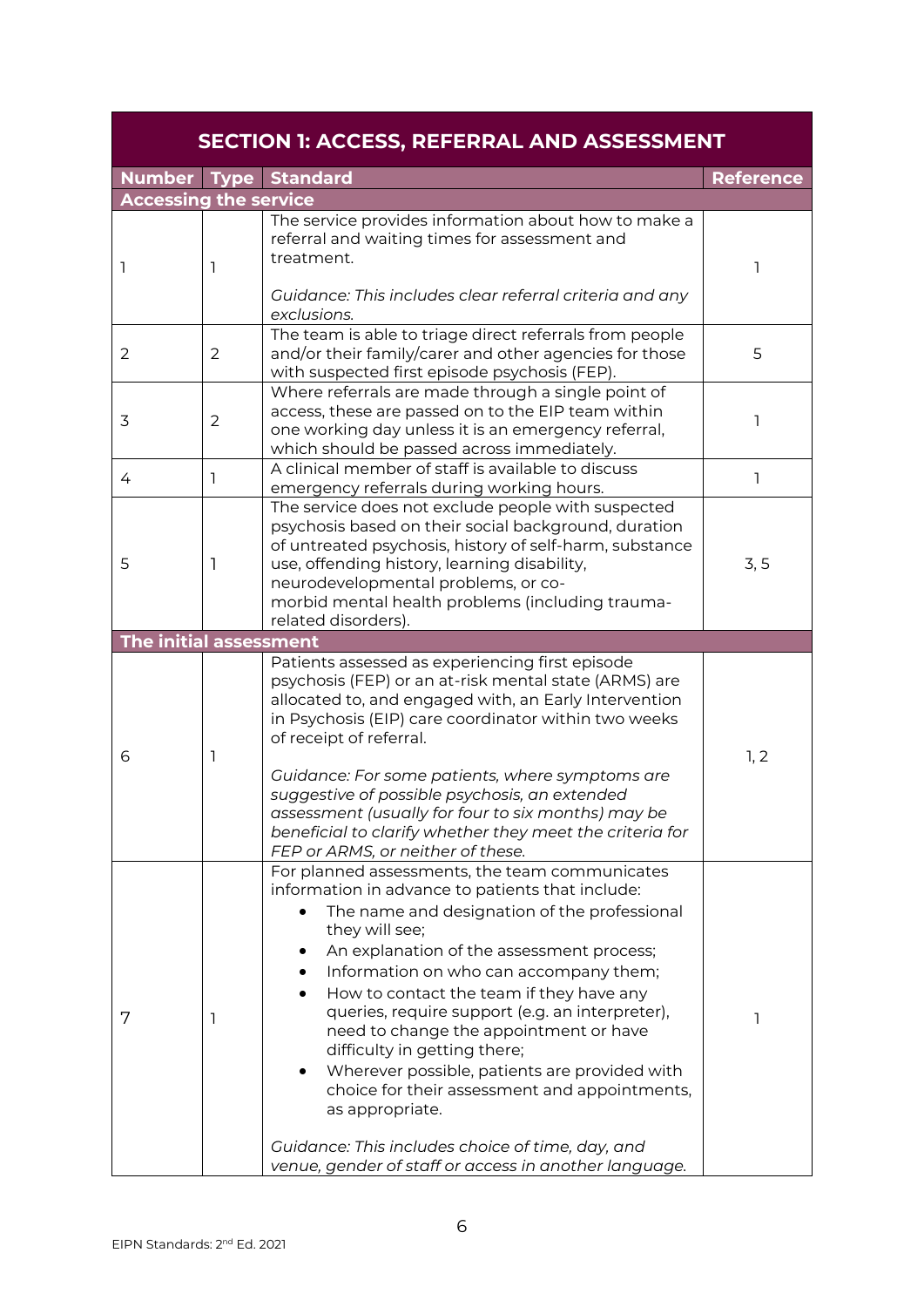<span id="page-5-0"></span>

|                              |                | <b>SECTION 1: ACCESS, REFERRAL AND ASSESSMENT</b>                                                                                                                                                                                                                                                                                                                                                                                                                                                                                                                                                                                                                      |                  |
|------------------------------|----------------|------------------------------------------------------------------------------------------------------------------------------------------------------------------------------------------------------------------------------------------------------------------------------------------------------------------------------------------------------------------------------------------------------------------------------------------------------------------------------------------------------------------------------------------------------------------------------------------------------------------------------------------------------------------------|------------------|
|                              |                | <b>Number Type Standard</b>                                                                                                                                                                                                                                                                                                                                                                                                                                                                                                                                                                                                                                            | <b>Reference</b> |
| <b>Accessing the service</b> |                |                                                                                                                                                                                                                                                                                                                                                                                                                                                                                                                                                                                                                                                                        |                  |
| I                            | ı              | The service provides information about how to make a<br>referral and waiting times for assessment and<br>treatment.<br>Guidance: This includes clear referral criteria and any<br>exclusions.                                                                                                                                                                                                                                                                                                                                                                                                                                                                          | ı                |
| 2                            | 2              | The team is able to triage direct referrals from people<br>and/or their family/carer and other agencies for those<br>with suspected first episode psychosis (FEP).                                                                                                                                                                                                                                                                                                                                                                                                                                                                                                     | 5                |
| 3                            | $\overline{2}$ | Where referrals are made through a single point of<br>access, these are passed on to the EIP team within<br>one working day unless it is an emergency referral,<br>which should be passed across immediately.                                                                                                                                                                                                                                                                                                                                                                                                                                                          | ı                |
| 4                            | $\mathbf{1}$   | A clinical member of staff is available to discuss<br>emergency referrals during working hours.                                                                                                                                                                                                                                                                                                                                                                                                                                                                                                                                                                        | <sub>1</sub>     |
| 5                            | 1              | The service does not exclude people with suspected<br>psychosis based on their social background, duration<br>of untreated psychosis, history of self-harm, substance<br>use, offending history, learning disability,<br>neurodevelopmental problems, or co-<br>morbid mental health problems (including trauma-<br>related disorders).                                                                                                                                                                                                                                                                                                                                | 3, 5             |
| The initial assessment       |                |                                                                                                                                                                                                                                                                                                                                                                                                                                                                                                                                                                                                                                                                        |                  |
| 6                            | 1              | Patients assessed as experiencing first episode<br>psychosis (FEP) or an at-risk mental state (ARMS) are<br>allocated to, and engaged with, an Early Intervention<br>in Psychosis (EIP) care coordinator within two weeks<br>of receipt of referral.<br>Guidance: For some patients, where symptoms are<br>suggestive of possible psychosis, an extended<br>assessment (usually for four to six months) may be<br>beneficial to clarify whether they meet the criteria for<br>FEP or ARMS, or neither of these.                                                                                                                                                        | 1, 2             |
| 7                            | 1              | For planned assessments, the team communicates<br>information in advance to patients that include:<br>The name and designation of the professional<br>they will see;<br>An explanation of the assessment process;<br>Information on who can accompany them;<br>How to contact the team if they have any<br>queries, require support (e.g. an interpreter),<br>need to change the appointment or have<br>difficulty in getting there;<br>Wherever possible, patients are provided with<br>choice for their assessment and appointments,<br>as appropriate.<br>Guidance: This includes choice of time, day, and<br>venue, gender of staff or access in another language. | ı                |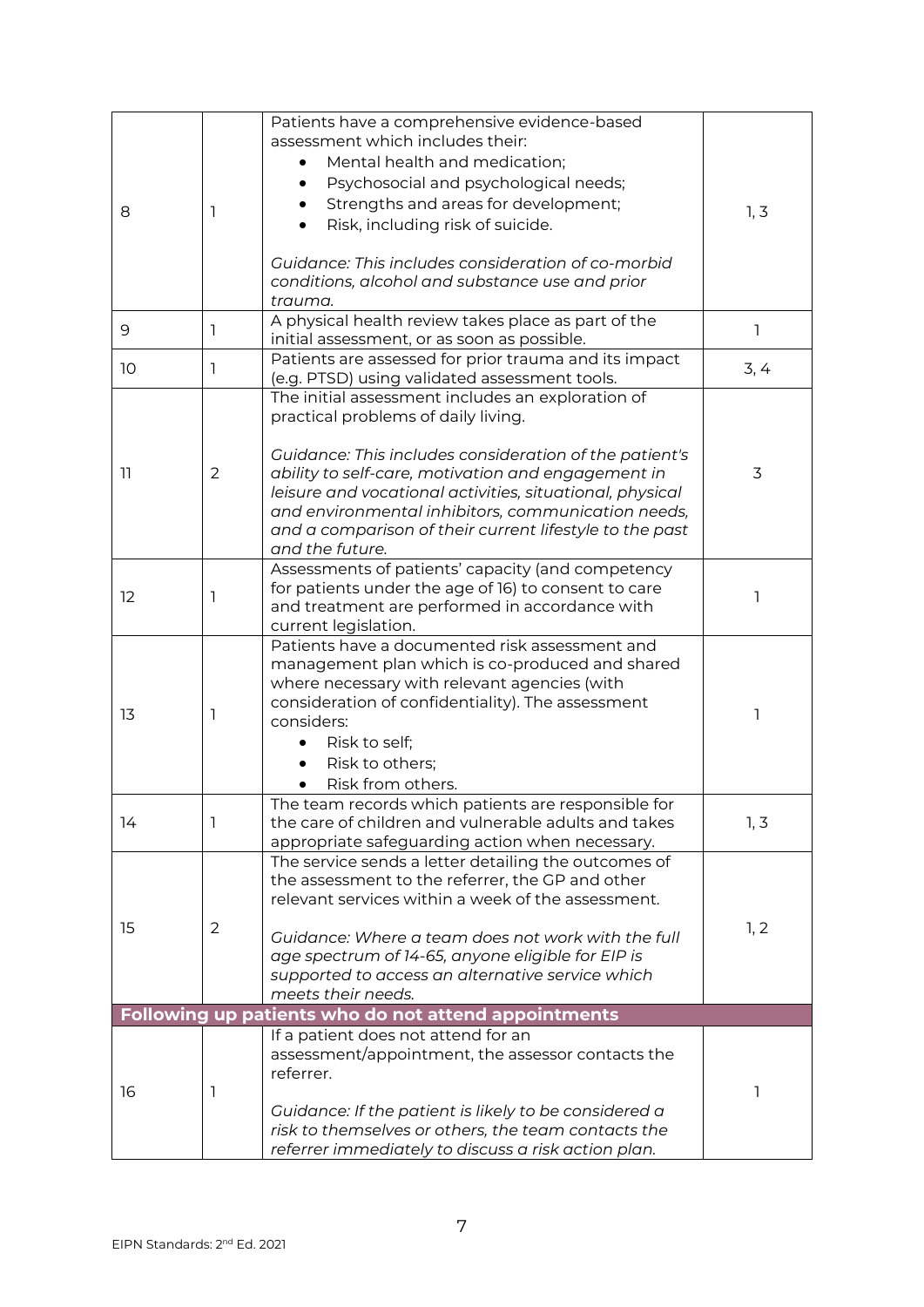| 8  | 1              | Patients have a comprehensive evidence-based<br>assessment which includes their:<br>Mental health and medication;<br>Psychosocial and psychological needs;<br>Strengths and areas for development;<br>Risk, including risk of suicide.<br>$\bullet$<br>Guidance: This includes consideration of co-morbid<br>conditions, alcohol and substance use and prior<br>trauma.                                  | 1, 3 |
|----|----------------|----------------------------------------------------------------------------------------------------------------------------------------------------------------------------------------------------------------------------------------------------------------------------------------------------------------------------------------------------------------------------------------------------------|------|
| 9  | 1              | A physical health review takes place as part of the<br>initial assessment, or as soon as possible.                                                                                                                                                                                                                                                                                                       | 1    |
| 10 | 1              | Patients are assessed for prior trauma and its impact<br>(e.g. PTSD) using validated assessment tools.                                                                                                                                                                                                                                                                                                   | 3, 4 |
| 11 | $\overline{2}$ | The initial assessment includes an exploration of<br>practical problems of daily living.<br>Guidance: This includes consideration of the patient's<br>ability to self-care, motivation and engagement in<br>leisure and vocational activities, situational, physical<br>and environmental inhibitors, communication needs,<br>and a comparison of their current lifestyle to the past<br>and the future. | 3    |
| 12 | 1              | Assessments of patients' capacity (and competency<br>for patients under the age of 16) to consent to care<br>and treatment are performed in accordance with<br>current legislation.                                                                                                                                                                                                                      |      |
| 13 | 1              | Patients have a documented risk assessment and<br>management plan which is co-produced and shared<br>where necessary with relevant agencies (with<br>consideration of confidentiality). The assessment<br>considers:<br>Risk to self;<br>Risk to others;<br>Risk from others.                                                                                                                            |      |
| 14 | 1              | The team records which patients are responsible for<br>the care of children and vulnerable adults and takes<br>appropriate safeguarding action when necessary.                                                                                                                                                                                                                                           | 1, 3 |
| 15 | $\overline{2}$ | The service sends a letter detailing the outcomes of<br>the assessment to the referrer, the GP and other<br>relevant services within a week of the assessment.<br>Guidance: Where a team does not work with the full<br>age spectrum of 14-65, anyone eligible for EIP is<br>supported to access an alternative service which<br>meets their needs.                                                      | 1, 2 |
|    |                | Following up patients who do not attend appointments                                                                                                                                                                                                                                                                                                                                                     |      |
| 16 | 1              | If a patient does not attend for an<br>assessment/appointment, the assessor contacts the<br>referrer.<br>Guidance: If the patient is likely to be considered a<br>risk to themselves or others, the team contacts the<br>referrer immediately to discuss a risk action plan.                                                                                                                             | 1    |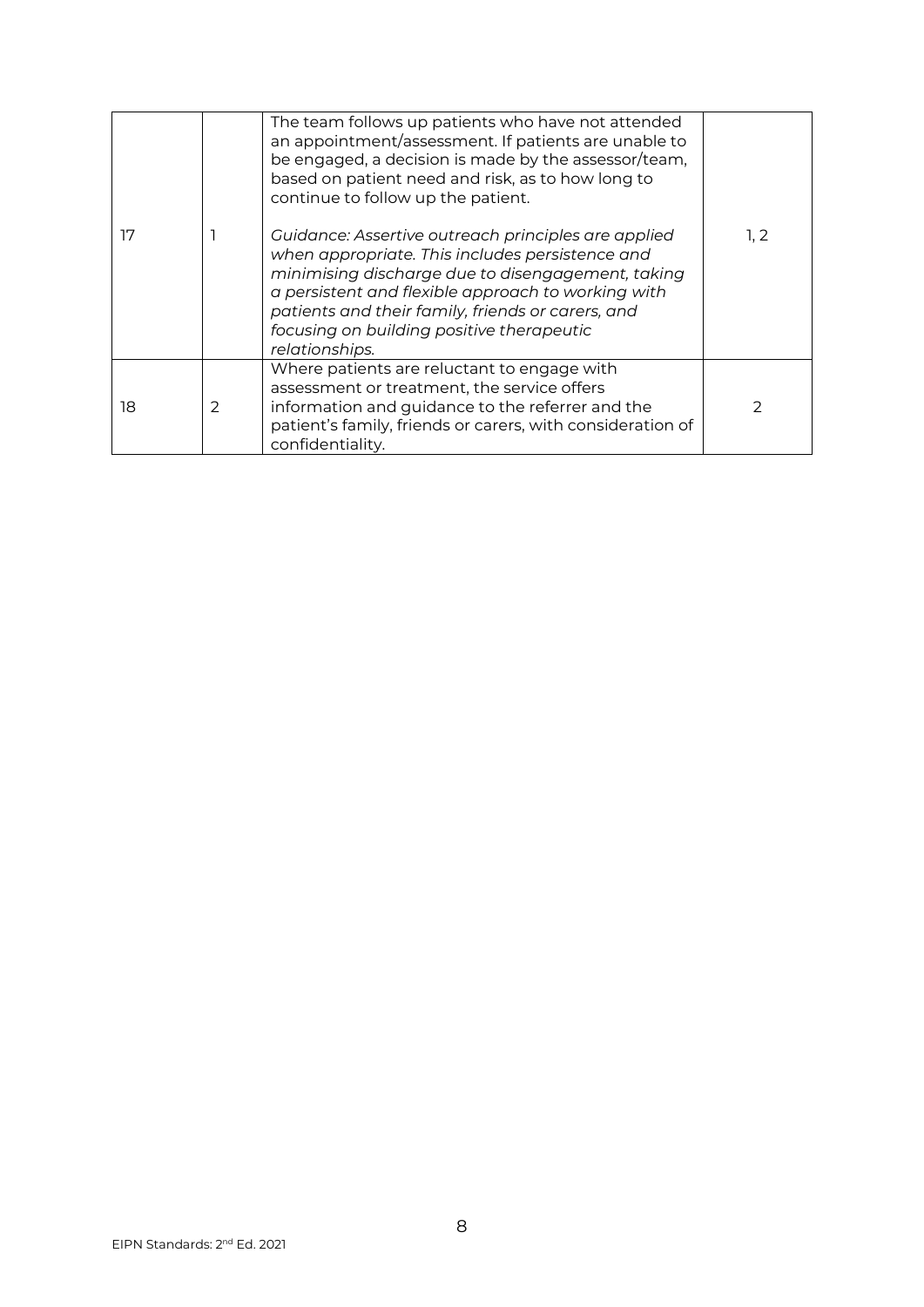| 17 |   | The team follows up patients who have not attended<br>an appointment/assessment. If patients are unable to<br>be engaged, a decision is made by the assessor/team,<br>based on patient need and risk, as to how long to<br>continue to follow up the patient.<br>Guidance: Assertive outreach principles are applied<br>when appropriate. This includes persistence and<br>minimising discharge due to disengagement, taking<br>a persistent and flexible approach to working with<br>patients and their family, friends or carers, and<br>focusing on building positive therapeutic<br>relationships. | 1, 2 |
|----|---|--------------------------------------------------------------------------------------------------------------------------------------------------------------------------------------------------------------------------------------------------------------------------------------------------------------------------------------------------------------------------------------------------------------------------------------------------------------------------------------------------------------------------------------------------------------------------------------------------------|------|
| 18 | 2 | Where patients are reluctant to engage with<br>assessment or treatment, the service offers<br>information and guidance to the referrer and the<br>patient's family, friends or carers, with consideration of<br>confidentiality.                                                                                                                                                                                                                                                                                                                                                                       |      |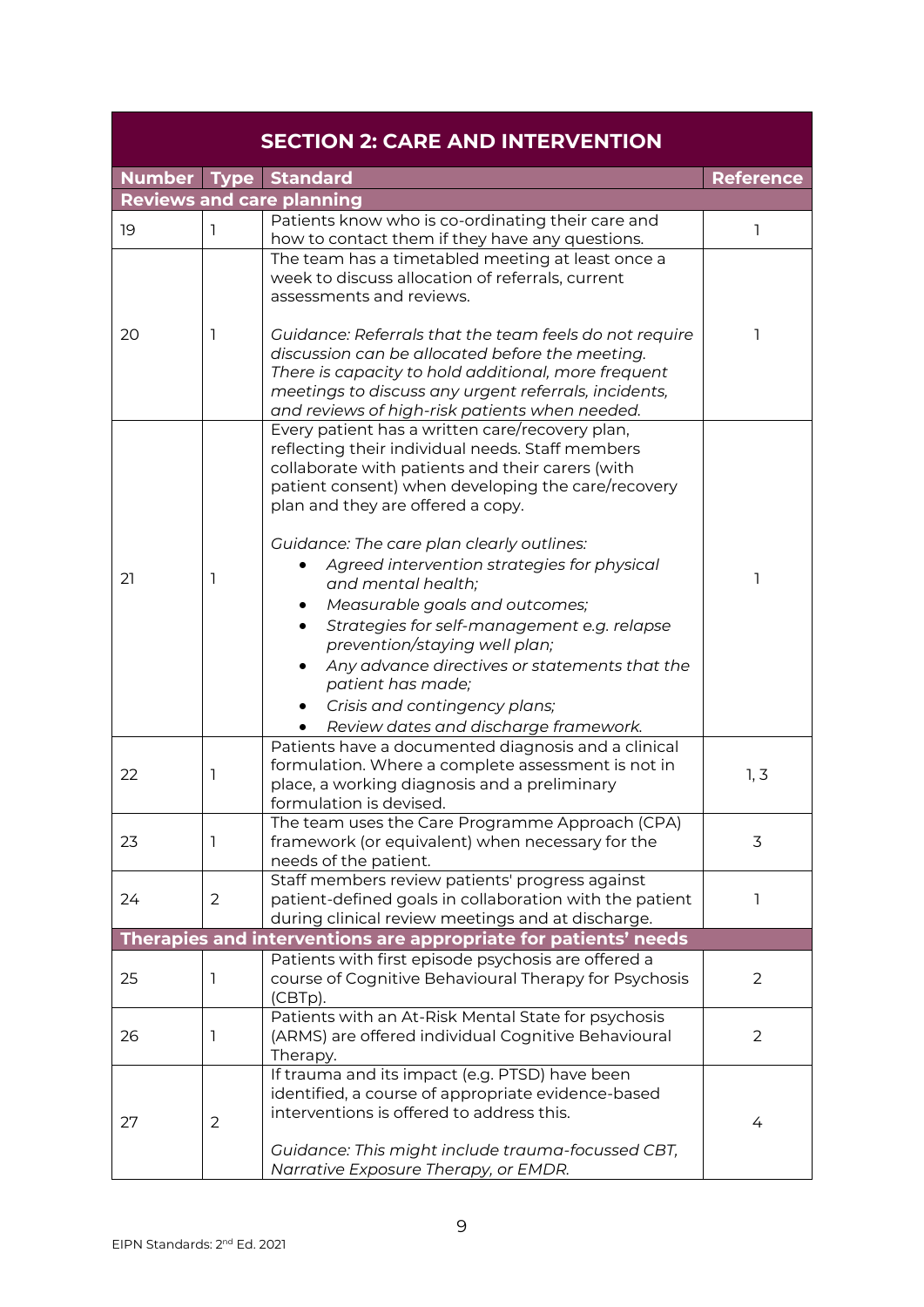<span id="page-8-0"></span>

|    |                | <b>SECTION 2: CARE AND INTERVENTION</b>                                                                                                                                                                                                                                                                                                                                                                                                                                                                                                                                                                                                |                  |
|----|----------------|----------------------------------------------------------------------------------------------------------------------------------------------------------------------------------------------------------------------------------------------------------------------------------------------------------------------------------------------------------------------------------------------------------------------------------------------------------------------------------------------------------------------------------------------------------------------------------------------------------------------------------------|------------------|
|    |                | <b>Number Type Standard</b>                                                                                                                                                                                                                                                                                                                                                                                                                                                                                                                                                                                                            | <b>Reference</b> |
|    |                | <b>Reviews and care planning</b>                                                                                                                                                                                                                                                                                                                                                                                                                                                                                                                                                                                                       |                  |
| 19 | 1              | Patients know who is co-ordinating their care and<br>how to contact them if they have any questions.                                                                                                                                                                                                                                                                                                                                                                                                                                                                                                                                   |                  |
| 20 | ı              | The team has a timetabled meeting at least once a<br>week to discuss allocation of referrals, current<br>assessments and reviews.<br>Guidance: Referrals that the team feels do not require<br>discussion can be allocated before the meeting.                                                                                                                                                                                                                                                                                                                                                                                         | ٦                |
|    |                | There is capacity to hold additional, more frequent<br>meetings to discuss any urgent referrals, incidents,<br>and reviews of high-risk patients when needed.                                                                                                                                                                                                                                                                                                                                                                                                                                                                          |                  |
| 21 | ı              | Every patient has a written care/recovery plan,<br>reflecting their individual needs. Staff members<br>collaborate with patients and their carers (with<br>patient consent) when developing the care/recovery<br>plan and they are offered a copy.<br>Guidance: The care plan clearly outlines:<br>Agreed intervention strategies for physical<br>and mental health;<br>Measurable goals and outcomes;<br>Strategies for self-management e.g. relapse<br>prevention/staying well plan;<br>Any advance directives or statements that the<br>patient has made;<br>Crisis and contingency plans;<br>Review dates and discharge framework. | 1                |
| 22 | 1              | Patients have a documented diagnosis and a clinical<br>formulation. Where a complete assessment is not in<br>place, a working diagnosis and a preliminary<br>formulation is devised.                                                                                                                                                                                                                                                                                                                                                                                                                                                   | 1, 3             |
| 23 | 1              | The team uses the Care Programme Approach (CPA)<br>framework (or equivalent) when necessary for the<br>needs of the patient.                                                                                                                                                                                                                                                                                                                                                                                                                                                                                                           | 3                |
| 24 | $\overline{2}$ | Staff members review patients' progress against<br>patient-defined goals in collaboration with the patient<br>during clinical review meetings and at discharge.                                                                                                                                                                                                                                                                                                                                                                                                                                                                        | ı                |
|    |                | Therapies and interventions are appropriate for patients' needs                                                                                                                                                                                                                                                                                                                                                                                                                                                                                                                                                                        |                  |
| 25 | 1              | Patients with first episode psychosis are offered a<br>course of Cognitive Behavioural Therapy for Psychosis<br>(CBTp).                                                                                                                                                                                                                                                                                                                                                                                                                                                                                                                | 2                |
| 26 | 1              | Patients with an At-Risk Mental State for psychosis<br>(ARMS) are offered individual Cognitive Behavioural<br>Therapy.                                                                                                                                                                                                                                                                                                                                                                                                                                                                                                                 | 2                |
| 27 | $\overline{2}$ | If trauma and its impact (e.g. PTSD) have been<br>identified, a course of appropriate evidence-based<br>interventions is offered to address this.<br>Guidance: This might include trauma-focussed CBT,<br>Narrative Exposure Therapy, or EMDR.                                                                                                                                                                                                                                                                                                                                                                                         | 4                |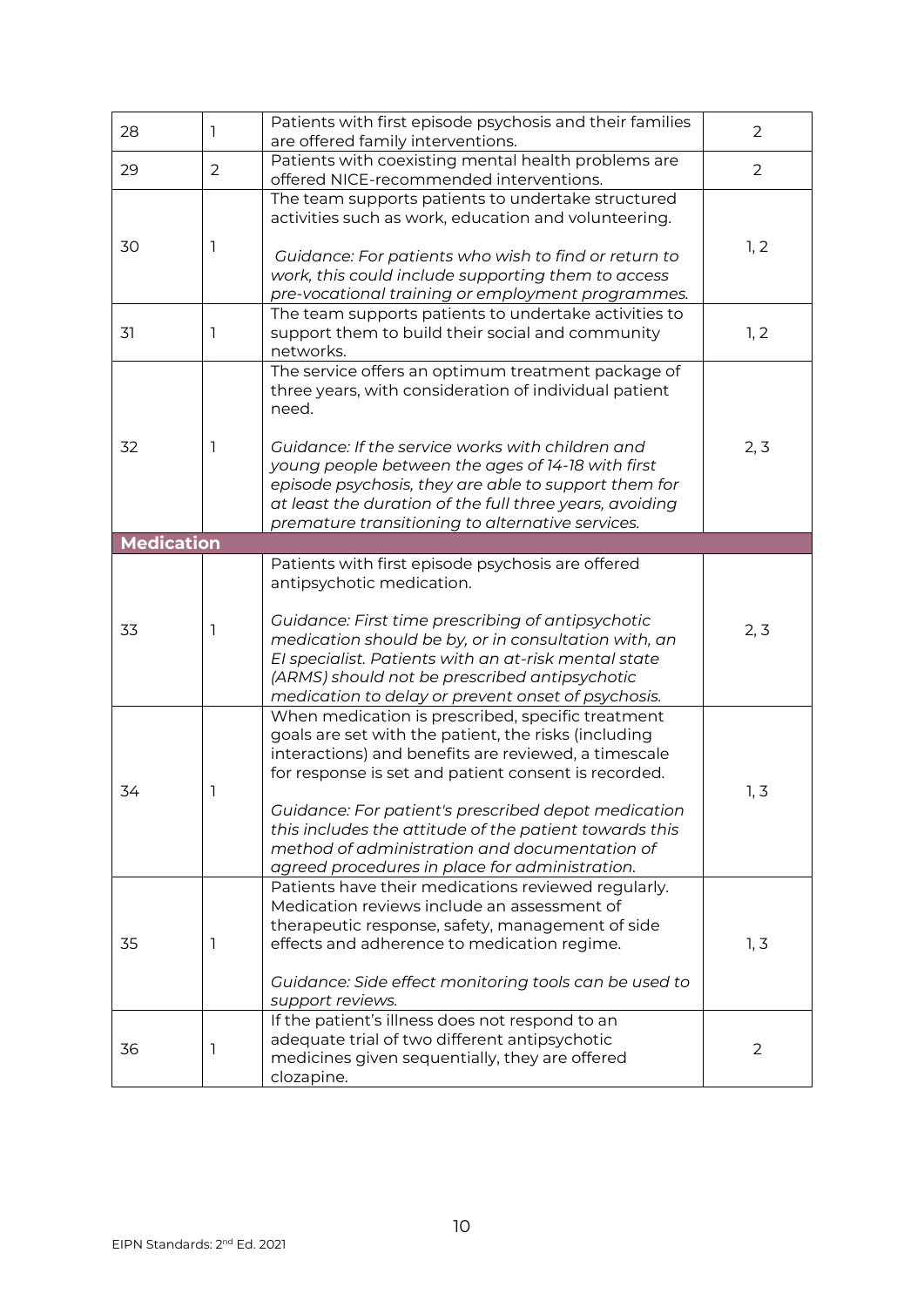| 28                | 1              | Patients with first episode psychosis and their families<br>are offered family interventions.                                                                                                                                                                                                                                                                                                                                                 | 2              |
|-------------------|----------------|-----------------------------------------------------------------------------------------------------------------------------------------------------------------------------------------------------------------------------------------------------------------------------------------------------------------------------------------------------------------------------------------------------------------------------------------------|----------------|
| 29                | $\overline{2}$ | Patients with coexisting mental health problems are<br>offered NICE-recommended interventions.                                                                                                                                                                                                                                                                                                                                                | $\overline{2}$ |
| 30                | 1              | The team supports patients to undertake structured<br>activities such as work, education and volunteering.<br>Guidance: For patients who wish to find or return to<br>work, this could include supporting them to access<br>pre-vocational training or employment programmes.                                                                                                                                                                 | 1, 2           |
| 31                | 1              | The team supports patients to undertake activities to<br>support them to build their social and community<br>networks.                                                                                                                                                                                                                                                                                                                        | 1, 2           |
| 32                | 1              | The service offers an optimum treatment package of<br>three years, with consideration of individual patient<br>need.<br>Guidance: If the service works with children and<br>young people between the ages of 14-18 with first<br>episode psychosis, they are able to support them for<br>at least the duration of the full three years, avoiding<br>premature transitioning to alternative services.                                          | 2, 3           |
| <b>Medication</b> |                |                                                                                                                                                                                                                                                                                                                                                                                                                                               |                |
| 33                | 1              | Patients with first episode psychosis are offered<br>antipsychotic medication.<br>Guidance: First time prescribing of antipsychotic<br>medication should be by, or in consultation with, an<br>El specialist. Patients with an at-risk mental state<br>(ARMS) should not be prescribed antipsychotic<br>medication to delay or prevent onset of psychosis.                                                                                    | 2, 3           |
| 34                | 1              | When medication is prescribed, specific treatment<br>goals are set with the patient, the risks (including<br>interactions) and benefits are reviewed, a timescale<br>for response is set and patient consent is recorded.<br>Guidance: For patient's prescribed depot medication<br>this includes the attitude of the patient towards this<br>method of administration and documentation of<br>agreed procedures in place for administration. | 1, 3           |
| 35                | 1              | Patients have their medications reviewed regularly.<br>Medication reviews include an assessment of<br>therapeutic response, safety, management of side<br>effects and adherence to medication regime.<br>Guidance: Side effect monitoring tools can be used to<br>support reviews.                                                                                                                                                            | 1, 3           |
| 36                | 1              | If the patient's illness does not respond to an<br>adequate trial of two different antipsychotic<br>medicines given sequentially, they are offered<br>clozapine.                                                                                                                                                                                                                                                                              | $\overline{2}$ |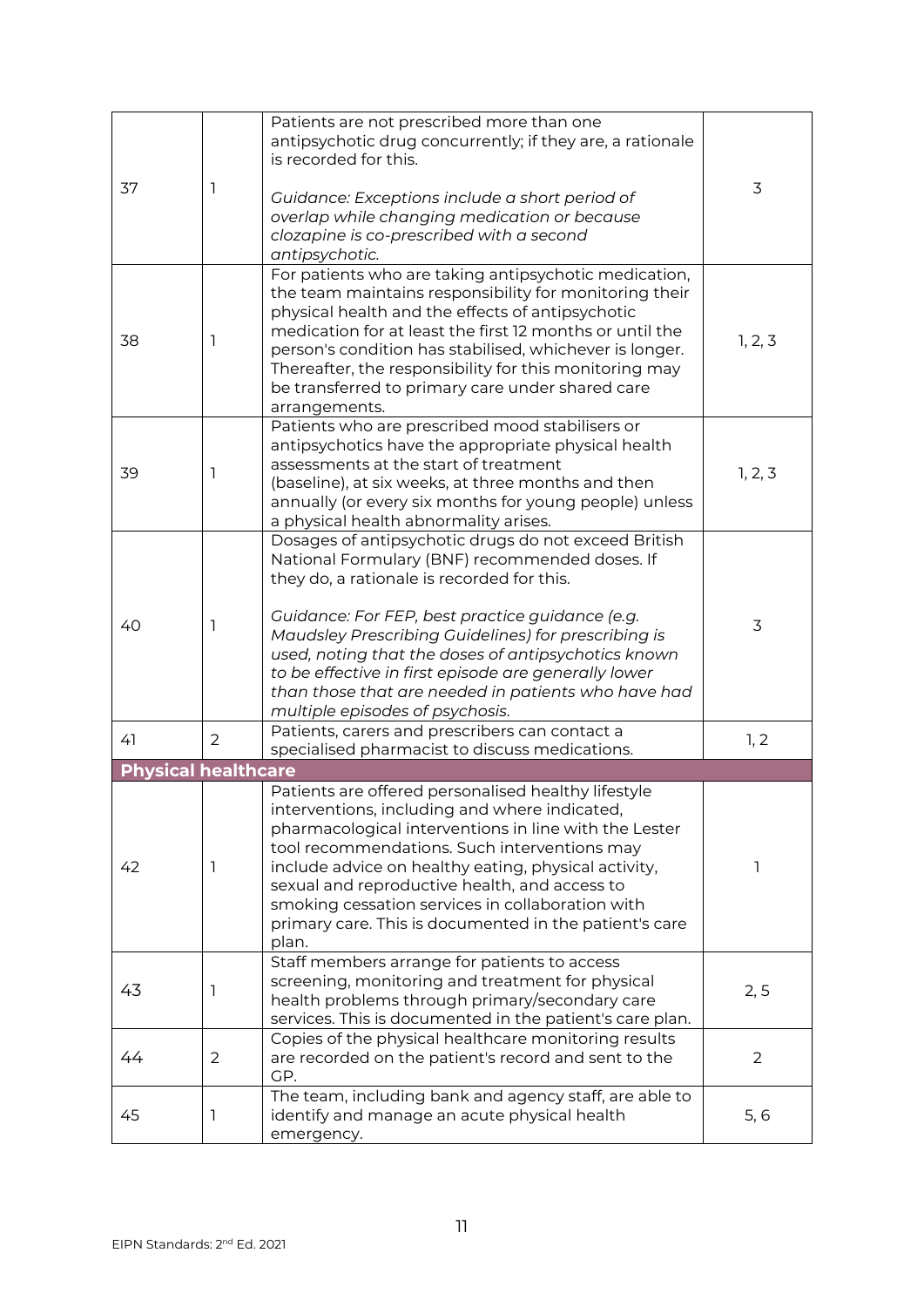| 37                         | 1 | Patients are not prescribed more than one<br>antipsychotic drug concurrently; if they are, a rationale<br>is recorded for this.                                                                                                                                                                                                                                                                                                               | 3              |
|----------------------------|---|-----------------------------------------------------------------------------------------------------------------------------------------------------------------------------------------------------------------------------------------------------------------------------------------------------------------------------------------------------------------------------------------------------------------------------------------------|----------------|
|                            |   | Guidance: Exceptions include a short period of<br>overlap while changing medication or because<br>clozapine is co-prescribed with a second<br>antipsychotic.                                                                                                                                                                                                                                                                                  |                |
| 38                         | 1 | For patients who are taking antipsychotic medication,<br>the team maintains responsibility for monitoring their<br>physical health and the effects of antipsychotic<br>medication for at least the first 12 months or until the<br>person's condition has stabilised, whichever is longer.<br>Thereafter, the responsibility for this monitoring may<br>be transferred to primary care under shared care<br>arrangements.                     | 1, 2, 3        |
| 39                         | 1 | Patients who are prescribed mood stabilisers or<br>antipsychotics have the appropriate physical health<br>assessments at the start of treatment<br>(baseline), at six weeks, at three months and then<br>annually (or every six months for young people) unless<br>a physical health abnormality arises.                                                                                                                                      | 1, 2, 3        |
|                            |   | Dosages of antipsychotic drugs do not exceed British<br>National Formulary (BNF) recommended doses. If<br>they do, a rationale is recorded for this.                                                                                                                                                                                                                                                                                          |                |
| 40                         | 1 | Guidance: For FEP, best practice guidance (e.g.<br>Maudsley Prescribing Guidelines) for prescribing is<br>used, noting that the doses of antipsychotics known<br>to be effective in first episode are generally lower<br>than those that are needed in patients who have had<br>multiple episodes of psychosis.                                                                                                                               | 3              |
| 41                         | 2 | Patients, carers and prescribers can contact a<br>specialised pharmacist to discuss medications.                                                                                                                                                                                                                                                                                                                                              | 1, 2           |
| <b>Physical healthcare</b> |   |                                                                                                                                                                                                                                                                                                                                                                                                                                               |                |
| 42                         | 1 | Patients are offered personalised healthy lifestyle<br>interventions, including and where indicated,<br>pharmacological interventions in line with the Lester<br>tool recommendations. Such interventions may<br>include advice on healthy eating, physical activity,<br>sexual and reproductive health, and access to<br>smoking cessation services in collaboration with<br>primary care. This is documented in the patient's care<br>plan. | 1              |
| 43                         | 1 | Staff members arrange for patients to access<br>screening, monitoring and treatment for physical<br>health problems through primary/secondary care<br>services. This is documented in the patient's care plan.                                                                                                                                                                                                                                | 2, 5           |
| 44                         | 2 | Copies of the physical healthcare monitoring results<br>are recorded on the patient's record and sent to the<br>GP.                                                                                                                                                                                                                                                                                                                           | $\overline{2}$ |
| 45                         | 1 | The team, including bank and agency staff, are able to<br>identify and manage an acute physical health<br>emergency.                                                                                                                                                                                                                                                                                                                          | 5, 6           |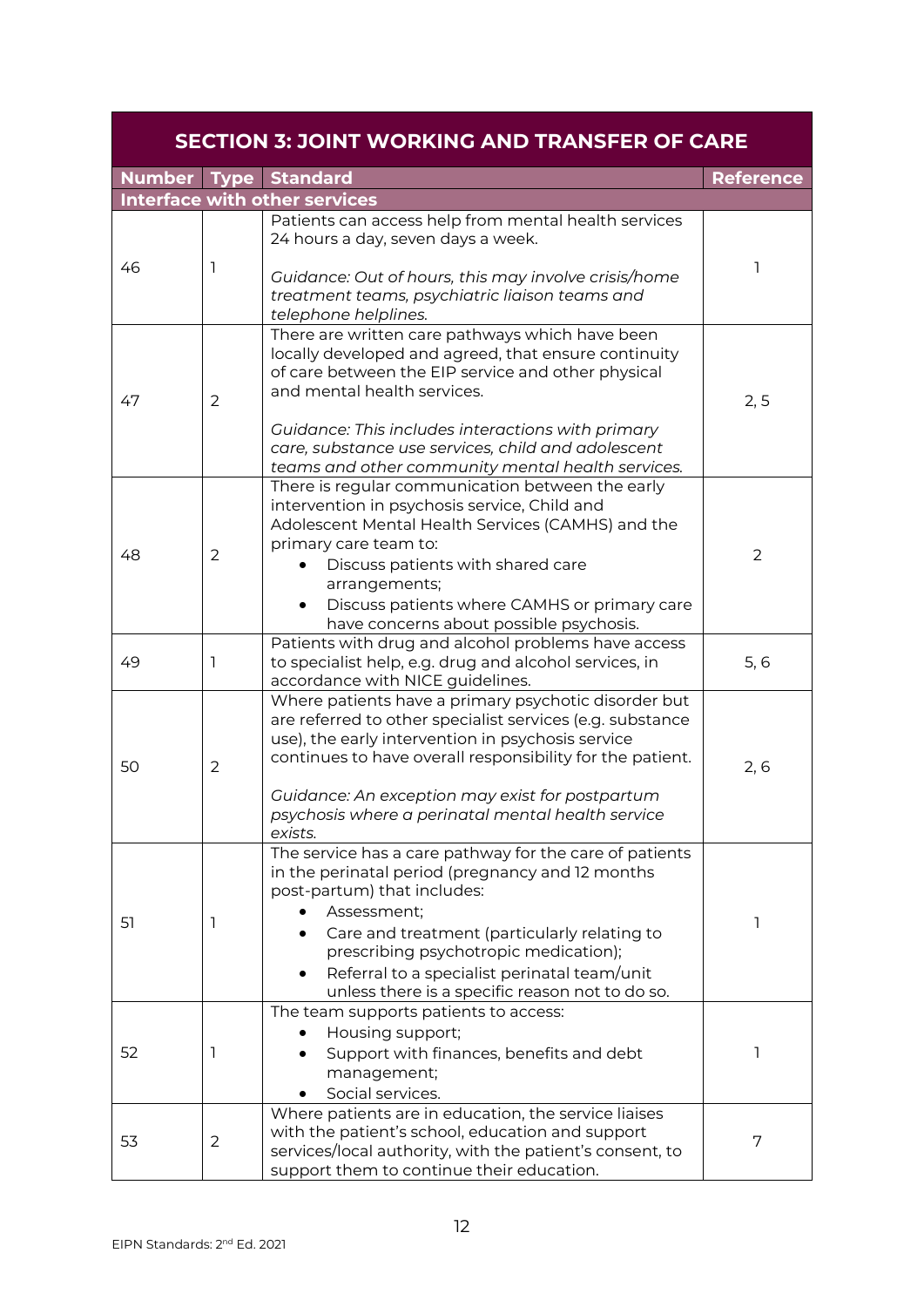<span id="page-11-0"></span>

|    |                | <b>SECTION 3: JOINT WORKING AND TRANSFER OF CARE</b>                                                                                                                                                                                                                                                                                                                                 |                  |
|----|----------------|--------------------------------------------------------------------------------------------------------------------------------------------------------------------------------------------------------------------------------------------------------------------------------------------------------------------------------------------------------------------------------------|------------------|
|    |                | <b>Number Type Standard</b>                                                                                                                                                                                                                                                                                                                                                          | <b>Reference</b> |
|    |                | <b>Interface with other services</b>                                                                                                                                                                                                                                                                                                                                                 |                  |
| 46 | 1              | Patients can access help from mental health services<br>24 hours a day, seven days a week.<br>Guidance: Out of hours, this may involve crisis/home<br>treatment teams, psychiatric liaison teams and                                                                                                                                                                                 | 1                |
| 47 | $\overline{2}$ | telephone helplines.<br>There are written care pathways which have been<br>locally developed and agreed, that ensure continuity<br>of care between the EIP service and other physical<br>and mental health services.<br>Guidance: This includes interactions with primary<br>care, substance use services, child and adolescent<br>teams and other community mental health services. | 2, 5             |
| 48 | $\overline{2}$ | There is regular communication between the early<br>intervention in psychosis service, Child and<br>Adolescent Mental Health Services (CAMHS) and the<br>primary care team to:<br>Discuss patients with shared care<br>arrangements;<br>Discuss patients where CAMHS or primary care<br>٠<br>have concerns about possible psychosis.                                                 | $\overline{2}$   |
| 49 | 1              | Patients with drug and alcohol problems have access<br>to specialist help, e.g. drug and alcohol services, in<br>accordance with NICE guidelines.                                                                                                                                                                                                                                    | 5, 6             |
| 50 | $\overline{2}$ | Where patients have a primary psychotic disorder but<br>are referred to other specialist services (e.g. substance<br>use), the early intervention in psychosis service<br>continues to have overall responsibility for the patient.<br>Guidance: An exception may exist for postpartum<br>psychosis where a perinatal mental health service<br>exists.                               | 2, 6             |
| 51 | 1              | The service has a care pathway for the care of patients<br>in the perinatal period (pregnancy and 12 months<br>post-partum) that includes:<br>Assessment;<br>Care and treatment (particularly relating to<br>prescribing psychotropic medication);<br>Referral to a specialist perinatal team/unit<br>unless there is a specific reason not to do so.                                | 1                |
| 52 | 1              | The team supports patients to access:<br>Housing support;<br>Support with finances, benefits and debt<br>management;<br>Social services.                                                                                                                                                                                                                                             | ı                |
| 53 | $\overline{2}$ | Where patients are in education, the service liaises<br>with the patient's school, education and support<br>services/local authority, with the patient's consent, to<br>support them to continue their education.                                                                                                                                                                    | 7                |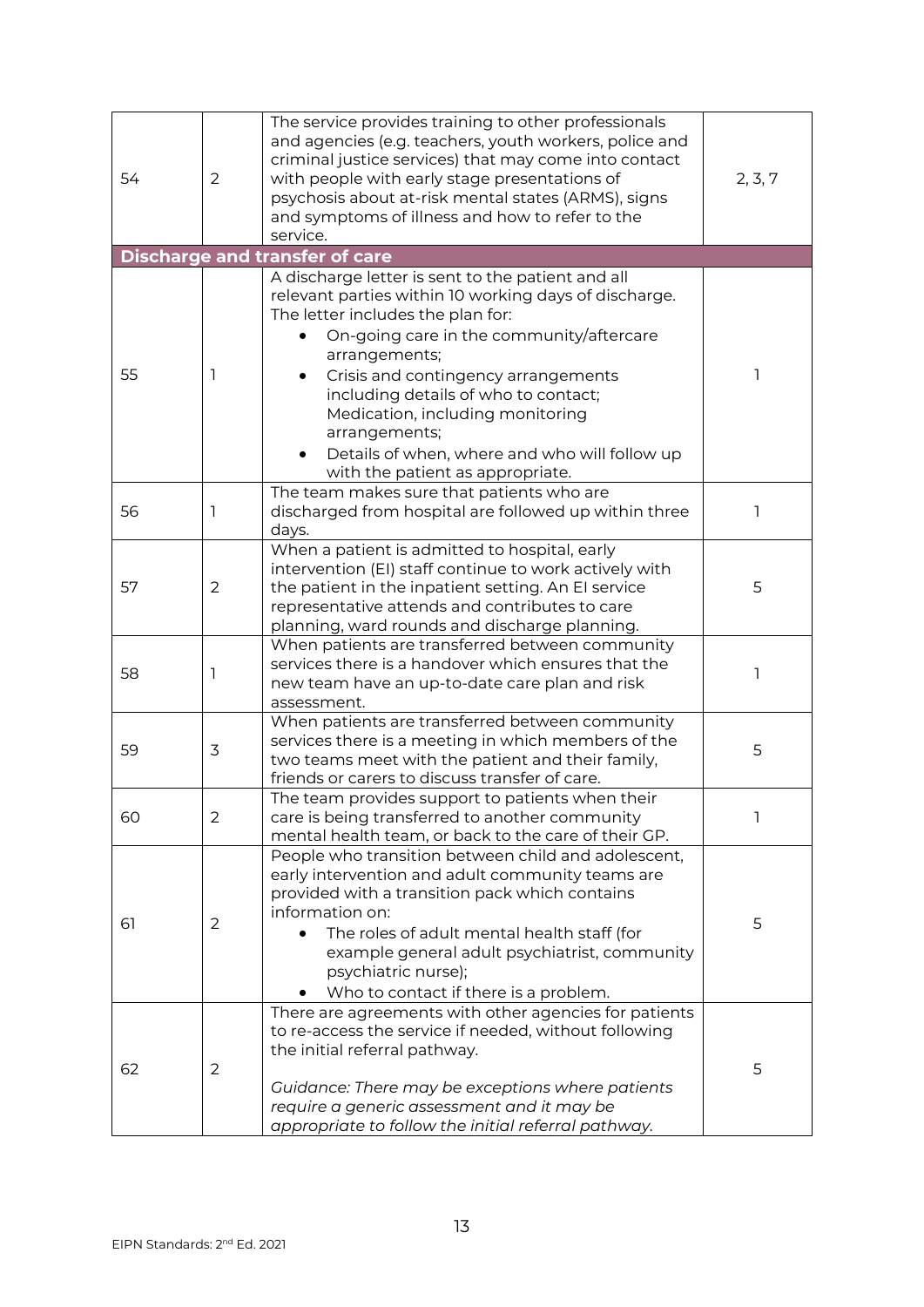| 54 | $\overline{2}$ | The service provides training to other professionals<br>and agencies (e.g. teachers, youth workers, police and<br>criminal justice services) that may come into contact<br>with people with early stage presentations of<br>psychosis about at-risk mental states (ARMS), signs<br>and symptoms of illness and how to refer to the<br>service.                                                                                        | 2, 3, 7 |
|----|----------------|---------------------------------------------------------------------------------------------------------------------------------------------------------------------------------------------------------------------------------------------------------------------------------------------------------------------------------------------------------------------------------------------------------------------------------------|---------|
|    |                | <b>Discharge and transfer of care</b>                                                                                                                                                                                                                                                                                                                                                                                                 |         |
| 55 | ı              | A discharge letter is sent to the patient and all<br>relevant parties within 10 working days of discharge.<br>The letter includes the plan for:<br>On-going care in the community/aftercare<br>arrangements;<br>Crisis and contingency arrangements<br>including details of who to contact;<br>Medication, including monitoring<br>arrangements;<br>Details of when, where and who will follow up<br>with the patient as appropriate. | 1       |
| 56 | 1              | The team makes sure that patients who are<br>discharged from hospital are followed up within three<br>days.                                                                                                                                                                                                                                                                                                                           | 1       |
| 57 | $\overline{2}$ | When a patient is admitted to hospital, early<br>intervention (EI) staff continue to work actively with<br>the patient in the inpatient setting. An El service<br>representative attends and contributes to care<br>planning, ward rounds and discharge planning.                                                                                                                                                                     | 5       |
| 58 | 1              | When patients are transferred between community<br>services there is a handover which ensures that the<br>new team have an up-to-date care plan and risk<br>assessment.                                                                                                                                                                                                                                                               | ı       |
| 59 | 3              | When patients are transferred between community<br>services there is a meeting in which members of the<br>two teams meet with the patient and their family,<br>friends or carers to discuss transfer of care.                                                                                                                                                                                                                         | 5       |
| 60 | 2              | The team provides support to patients when their<br>care is being transferred to another community<br>mental health team, or back to the care of their GP.                                                                                                                                                                                                                                                                            |         |
| 61 | $\overline{2}$ | People who transition between child and adolescent,<br>early intervention and adult community teams are<br>provided with a transition pack which contains<br>information on:<br>The roles of adult mental health staff (for<br>example general adult psychiatrist, community<br>psychiatric nurse);<br>Who to contact if there is a problem.                                                                                          | 5       |
| 62 | $\overline{2}$ | There are agreements with other agencies for patients<br>to re-access the service if needed, without following<br>the initial referral pathway.<br>Guidance: There may be exceptions where patients<br>require a generic assessment and it may be<br>appropriate to follow the initial referral pathway.                                                                                                                              | 5       |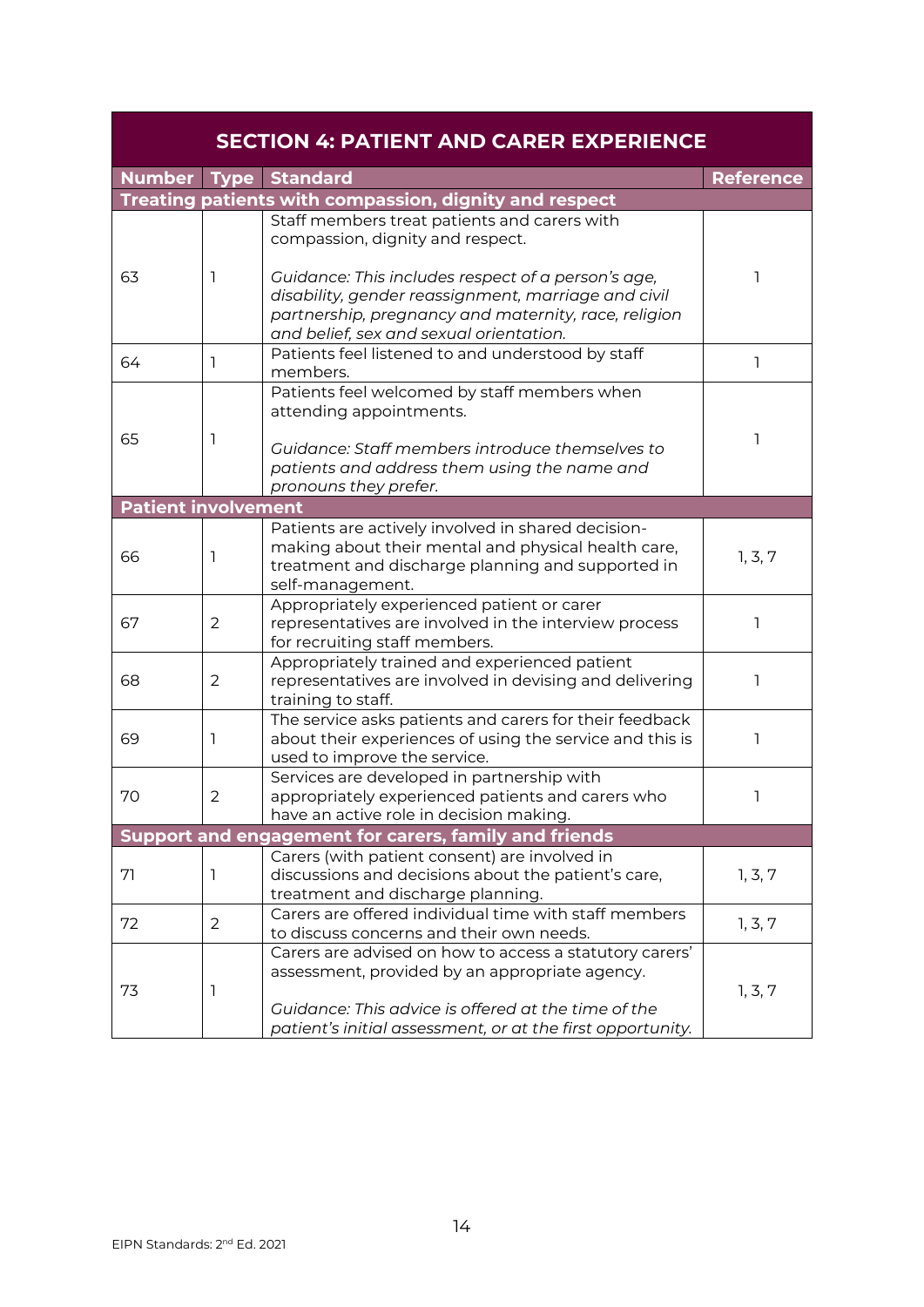<span id="page-13-0"></span>

|                            |                | <b>SECTION 4: PATIENT AND CARER EXPERIENCE</b>                                                                                                                                                                                 |                  |
|----------------------------|----------------|--------------------------------------------------------------------------------------------------------------------------------------------------------------------------------------------------------------------------------|------------------|
|                            |                | <b>Number Type Standard</b>                                                                                                                                                                                                    | <b>Reference</b> |
|                            |                | Treating patients with compassion, dignity and respect                                                                                                                                                                         |                  |
|                            |                | Staff members treat patients and carers with<br>compassion, dignity and respect.                                                                                                                                               |                  |
| 63                         | 1              | Guidance: This includes respect of a person's age,<br>disability, gender reassignment, marriage and civil<br>partnership, pregnancy and maternity, race, religion<br>and belief, sex and sexual orientation.                   |                  |
| 64                         | 1              | Patients feel listened to and understood by staff<br>members.                                                                                                                                                                  | ı                |
| 65                         | 1              | Patients feel welcomed by staff members when<br>attending appointments.<br>Guidance: Staff members introduce themselves to                                                                                                     | 1                |
|                            |                | patients and address them using the name and<br>pronouns they prefer.                                                                                                                                                          |                  |
| <b>Patient involvement</b> |                |                                                                                                                                                                                                                                |                  |
| 66                         | ı              | Patients are actively involved in shared decision-<br>making about their mental and physical health care,<br>treatment and discharge planning and supported in<br>self-management.                                             | 1, 3, 7          |
| 67                         | $\overline{2}$ | Appropriately experienced patient or carer<br>representatives are involved in the interview process<br>for recruiting staff members.                                                                                           | 1                |
| 68                         | $\overline{2}$ | Appropriately trained and experienced patient<br>representatives are involved in devising and delivering<br>training to staff.                                                                                                 | 1                |
| 69                         | 1              | The service asks patients and carers for their feedback<br>about their experiences of using the service and this is<br>used to improve the service.                                                                            | 1                |
| 70                         | $\overline{2}$ | Services are developed in partnership with<br>appropriately experienced patients and carers who<br>have an active role in decision making.                                                                                     | 1                |
|                            |                | Support and engagement for carers, family and friends                                                                                                                                                                          |                  |
| 71                         | 1              | Carers (with patient consent) are involved in<br>discussions and decisions about the patient's care,<br>treatment and discharge planning.                                                                                      | 1, 3, 7          |
| 72                         | $\overline{2}$ | Carers are offered individual time with staff members<br>to discuss concerns and their own needs.                                                                                                                              | 1, 3, 7          |
| 73                         | 1              | Carers are advised on how to access a statutory carers'<br>assessment, provided by an appropriate agency.<br>Guidance: This advice is offered at the time of the<br>patient's initial assessment, or at the first opportunity. | 1, 3, 7          |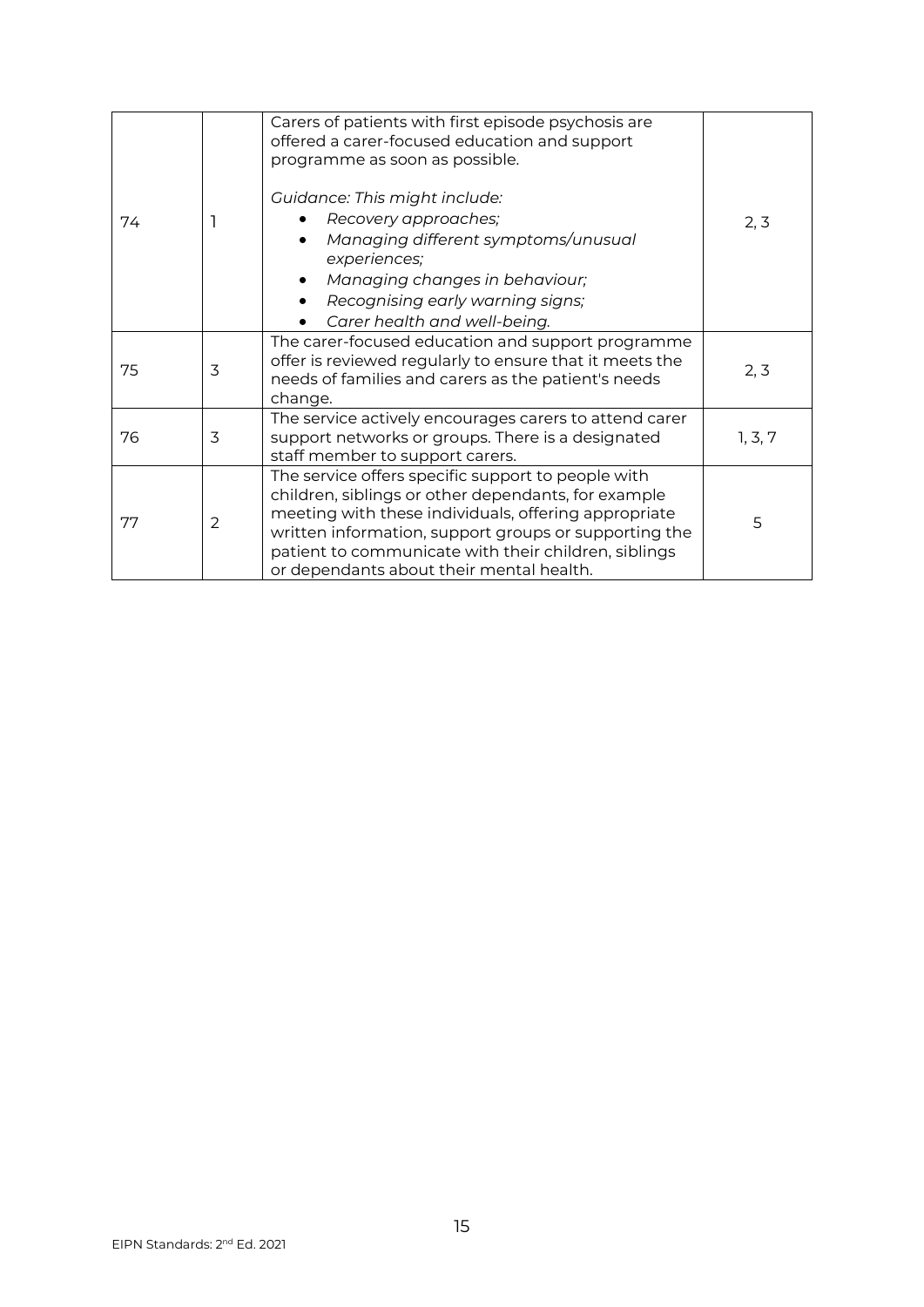|    |                | Carers of patients with first episode psychosis are<br>offered a carer-focused education and support<br>programme as soon as possible.                                                                                                                                                                                         |         |
|----|----------------|--------------------------------------------------------------------------------------------------------------------------------------------------------------------------------------------------------------------------------------------------------------------------------------------------------------------------------|---------|
| 74 |                | Guidance: This might include:<br>Recovery approaches;<br>Managing different symptoms/unusual<br>experiences;<br>Managing changes in behaviour;<br>Recognising early warning signs;<br>$\bullet$<br>Carer health and well-being.                                                                                                | 2, 3    |
| 75 | 3              | The carer-focused education and support programme<br>offer is reviewed regularly to ensure that it meets the<br>needs of families and carers as the patient's needs<br>change.                                                                                                                                                 | 2, 3    |
| 76 | 3              | The service actively encourages carers to attend carer<br>support networks or groups. There is a designated<br>staff member to support carers.                                                                                                                                                                                 | 1, 3, 7 |
| 77 | $\overline{2}$ | The service offers specific support to people with<br>children, siblings or other dependants, for example<br>meeting with these individuals, offering appropriate<br>written information, support groups or supporting the<br>patient to communicate with their children, siblings<br>or dependants about their mental health. | 5       |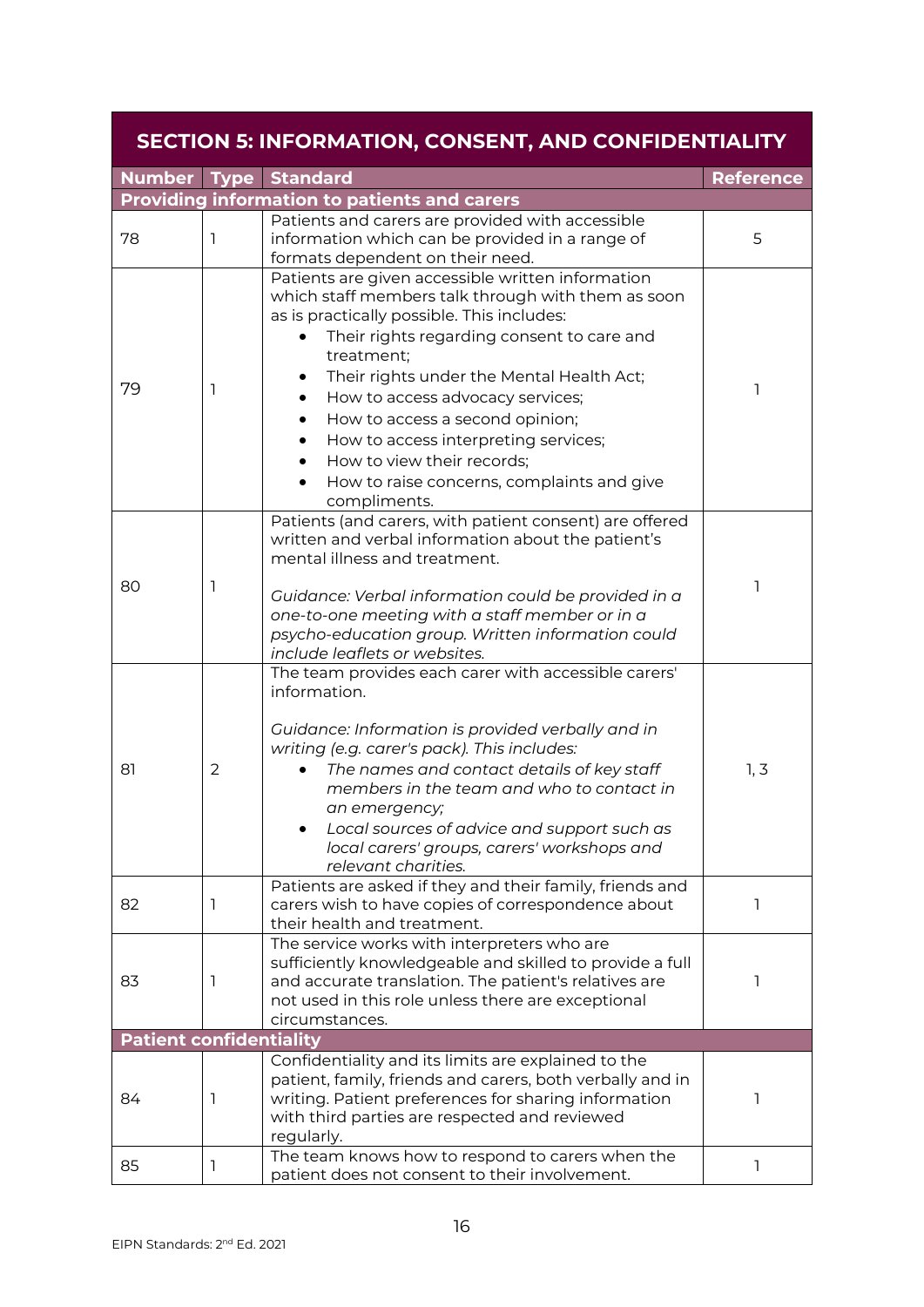<span id="page-15-0"></span>

|                                | <b>SECTION 5: INFORMATION, CONSENT, AND CONFIDENTIALITY</b> |                                                                                                                                                                                                                                                                                                                                                                                                                                                                                        |                  |  |
|--------------------------------|-------------------------------------------------------------|----------------------------------------------------------------------------------------------------------------------------------------------------------------------------------------------------------------------------------------------------------------------------------------------------------------------------------------------------------------------------------------------------------------------------------------------------------------------------------------|------------------|--|
|                                |                                                             | <b>Number Type Standard</b>                                                                                                                                                                                                                                                                                                                                                                                                                                                            | <b>Reference</b> |  |
|                                |                                                             | <b>Providing information to patients and carers</b>                                                                                                                                                                                                                                                                                                                                                                                                                                    |                  |  |
| 78                             | 1                                                           | Patients and carers are provided with accessible<br>information which can be provided in a range of<br>formats dependent on their need.                                                                                                                                                                                                                                                                                                                                                | 5                |  |
| 79                             | 1                                                           | Patients are given accessible written information<br>which staff members talk through with them as soon<br>as is practically possible. This includes:<br>Their rights regarding consent to care and<br>$\bullet$<br>treatment;<br>Their rights under the Mental Health Act;<br>How to access advocacy services;<br>How to access a second opinion;<br>How to access interpreting services;<br>How to view their records;<br>How to raise concerns, complaints and give<br>compliments. | 1                |  |
| 80                             | 1                                                           | Patients (and carers, with patient consent) are offered<br>written and verbal information about the patient's<br>mental illness and treatment.<br>Guidance: Verbal information could be provided in a<br>one-to-one meeting with a staff member or in a<br>psycho-education group. Written information could<br>include leaflets or websites.                                                                                                                                          | ı                |  |
| 81                             | 2                                                           | The team provides each carer with accessible carers'<br>information.<br>Guidance: Information is provided verbally and in<br>writing (e.g. carer's pack). This includes:<br>The names and contact details of key staff<br>members in the team and who to contact in<br>an emergency;<br>Local sources of advice and support such as<br>local carers' groups, carers' workshops and<br>relevant charities.                                                                              | 1, 3             |  |
| 82                             | 1                                                           | Patients are asked if they and their family, friends and<br>carers wish to have copies of correspondence about<br>their health and treatment.                                                                                                                                                                                                                                                                                                                                          | ı                |  |
| 83                             | 1                                                           | The service works with interpreters who are<br>sufficiently knowledgeable and skilled to provide a full<br>and accurate translation. The patient's relatives are<br>not used in this role unless there are exceptional<br>circumstances.                                                                                                                                                                                                                                               | 1                |  |
| <b>Patient confidentiality</b> |                                                             |                                                                                                                                                                                                                                                                                                                                                                                                                                                                                        |                  |  |
| 84                             | 1                                                           | Confidentiality and its limits are explained to the<br>patient, family, friends and carers, both verbally and in<br>writing. Patient preferences for sharing information<br>with third parties are respected and reviewed<br>regularly.                                                                                                                                                                                                                                                | 1                |  |
| 85                             | 1                                                           | The team knows how to respond to carers when the<br>patient does not consent to their involvement.                                                                                                                                                                                                                                                                                                                                                                                     | 1                |  |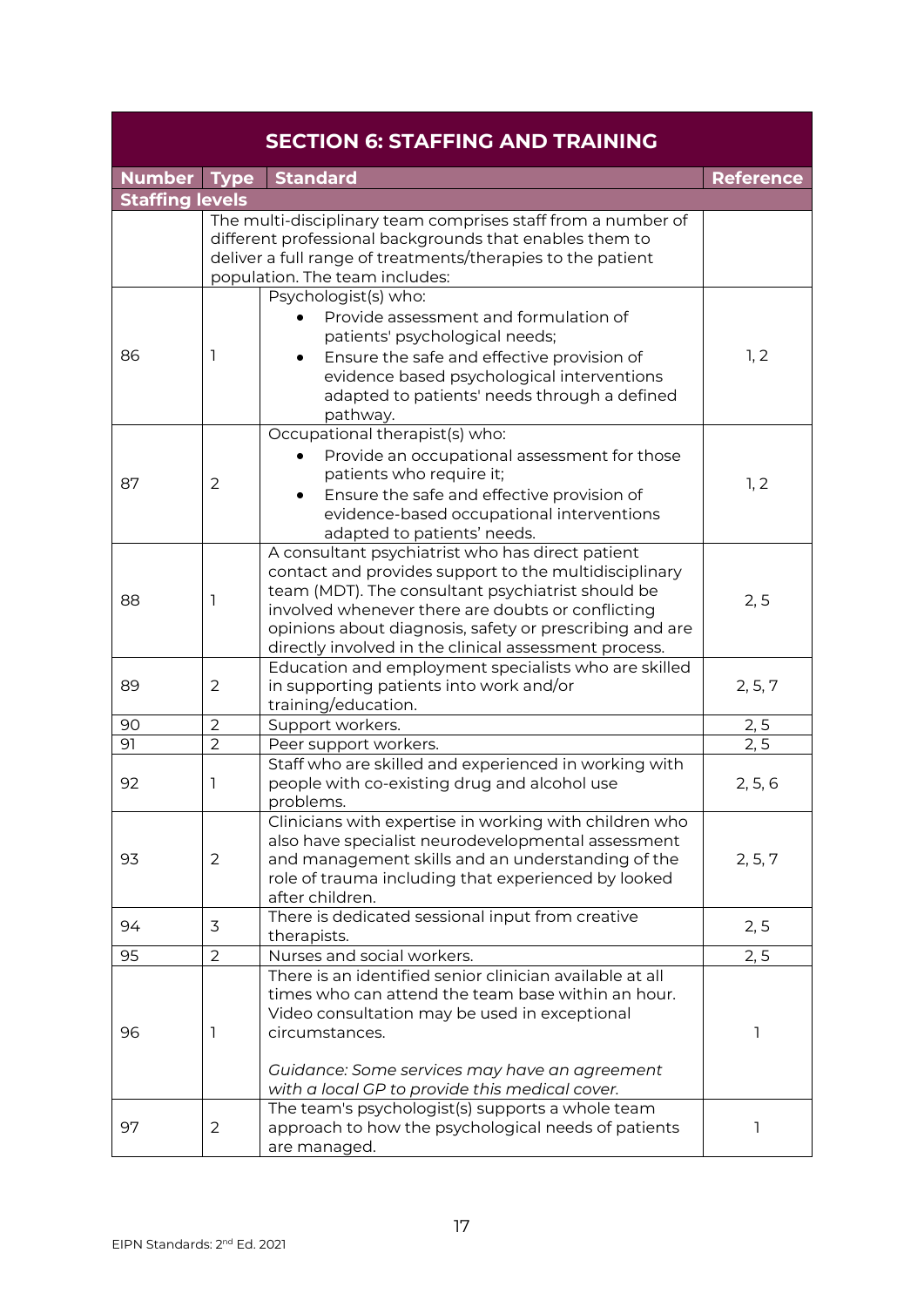<span id="page-16-0"></span>

|                        |                | <b>SECTION 6: STAFFING AND TRAINING</b>                                                                                                                                                                                                                                                                                                 |                  |
|------------------------|----------------|-----------------------------------------------------------------------------------------------------------------------------------------------------------------------------------------------------------------------------------------------------------------------------------------------------------------------------------------|------------------|
| Number Type            |                | <b>Standard</b>                                                                                                                                                                                                                                                                                                                         | <b>Reference</b> |
| <b>Staffing levels</b> |                |                                                                                                                                                                                                                                                                                                                                         |                  |
|                        |                | The multi-disciplinary team comprises staff from a number of<br>different professional backgrounds that enables them to<br>deliver a full range of treatments/therapies to the patient<br>population. The team includes:                                                                                                                |                  |
| 86                     | 1              | Psychologist(s) who:<br>Provide assessment and formulation of<br>patients' psychological needs;<br>Ensure the safe and effective provision of<br>evidence based psychological interventions<br>adapted to patients' needs through a defined<br>pathway.                                                                                 | 1, 2             |
| 87                     | $\overline{2}$ | Occupational therapist(s) who:<br>Provide an occupational assessment for those<br>patients who require it;<br>Ensure the safe and effective provision of<br>evidence-based occupational interventions<br>adapted to patients' needs.                                                                                                    | 1, 2             |
| 88                     | 1              | A consultant psychiatrist who has direct patient<br>contact and provides support to the multidisciplinary<br>team (MDT). The consultant psychiatrist should be<br>involved whenever there are doubts or conflicting<br>opinions about diagnosis, safety or prescribing and are<br>directly involved in the clinical assessment process. | 2, 5             |
| 89                     | 2              | Education and employment specialists who are skilled<br>in supporting patients into work and/or<br>training/education.                                                                                                                                                                                                                  | 2, 5, 7          |
| 90                     | $\overline{2}$ | Support workers.                                                                                                                                                                                                                                                                                                                        | 2, 5             |
| 91                     | $\overline{2}$ | Peer support workers.                                                                                                                                                                                                                                                                                                                   | 2, 5             |
| 92                     | 1              | Staff who are skilled and experienced in working with<br>people with co-existing drug and alcohol use<br>problems.                                                                                                                                                                                                                      | 2, 5, 6          |
| 93                     | $\overline{2}$ | Clinicians with expertise in working with children who<br>also have specialist neurodevelopmental assessment<br>and management skills and an understanding of the<br>role of trauma including that experienced by looked<br>after children.                                                                                             | 2, 5, 7          |
| 94                     | 3              | There is dedicated sessional input from creative<br>therapists.                                                                                                                                                                                                                                                                         | 2, 5             |
| 95                     | $\overline{2}$ | Nurses and social workers.                                                                                                                                                                                                                                                                                                              | 2, 5             |
| 96                     | 1              | There is an identified senior clinician available at all<br>times who can attend the team base within an hour.<br>Video consultation may be used in exceptional<br>circumstances.<br>Guidance: Some services may have an agreement<br>with a local GP to provide this medical cover.                                                    | 1                |
| 97                     | $\overline{2}$ | The team's psychologist(s) supports a whole team<br>approach to how the psychological needs of patients<br>are managed.                                                                                                                                                                                                                 | 1                |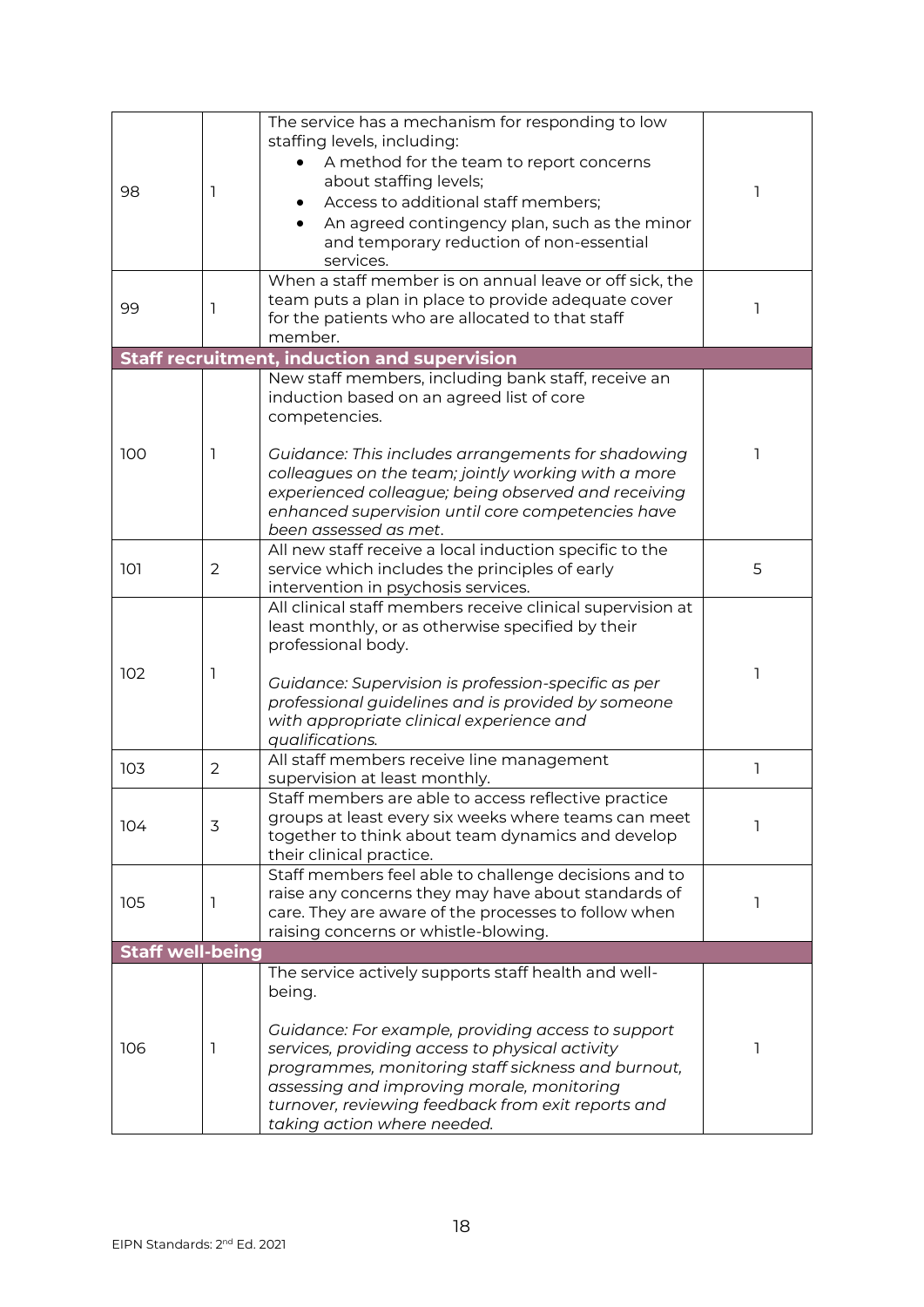| 98                      | ı              | The service has a mechanism for responding to low<br>staffing levels, including:<br>A method for the team to report concerns<br>about staffing levels;<br>Access to additional staff members;<br>An agreed contingency plan, such as the minor<br>and temporary reduction of non-essential<br>services.                                                             | ı  |
|-------------------------|----------------|---------------------------------------------------------------------------------------------------------------------------------------------------------------------------------------------------------------------------------------------------------------------------------------------------------------------------------------------------------------------|----|
| 99                      | 1              | When a staff member is on annual leave or off sick, the<br>team puts a plan in place to provide adequate cover<br>for the patients who are allocated to that staff<br>member.                                                                                                                                                                                       | -1 |
|                         |                | <b>Staff recruitment, induction and supervision</b>                                                                                                                                                                                                                                                                                                                 |    |
| 100                     | $\perp$        | New staff members, including bank staff, receive an<br>induction based on an agreed list of core<br>competencies.<br>Guidance: This includes arrangements for shadowing<br>colleagues on the team; jointly working with a more<br>experienced colleague; being observed and receiving<br>enhanced supervision until core competencies have<br>been assessed as met. |    |
| 101                     | 2              | All new staff receive a local induction specific to the<br>service which includes the principles of early<br>intervention in psychosis services.                                                                                                                                                                                                                    | 5  |
| 102                     | 1              | All clinical staff members receive clinical supervision at<br>least monthly, or as otherwise specified by their<br>professional body.<br>Guidance: Supervision is profession-specific as per<br>professional guidelines and is provided by someone<br>with appropriate clinical experience and<br>qualifications.                                                   | 1  |
| 103                     | $\overline{2}$ | All staff members receive line management<br>supervision at least monthly.                                                                                                                                                                                                                                                                                          | ı  |
| 104                     | 3              | Staff members are able to access reflective practice<br>groups at least every six weeks where teams can meet<br>together to think about team dynamics and develop<br>their clinical practice.                                                                                                                                                                       |    |
| 105                     | 1              | Staff members feel able to challenge decisions and to<br>raise any concerns they may have about standards of<br>care. They are aware of the processes to follow when<br>raising concerns or whistle-blowing.                                                                                                                                                        | ı  |
| <b>Staff well-being</b> |                |                                                                                                                                                                                                                                                                                                                                                                     |    |
| 106                     | 1              | The service actively supports staff health and well-<br>being.<br>Guidance: For example, providing access to support<br>services, providing access to physical activity<br>programmes, monitoring staff sickness and burnout,<br>assessing and improving morale, monitoring<br>turnover, reviewing feedback from exit reports and<br>taking action where needed.    | 1  |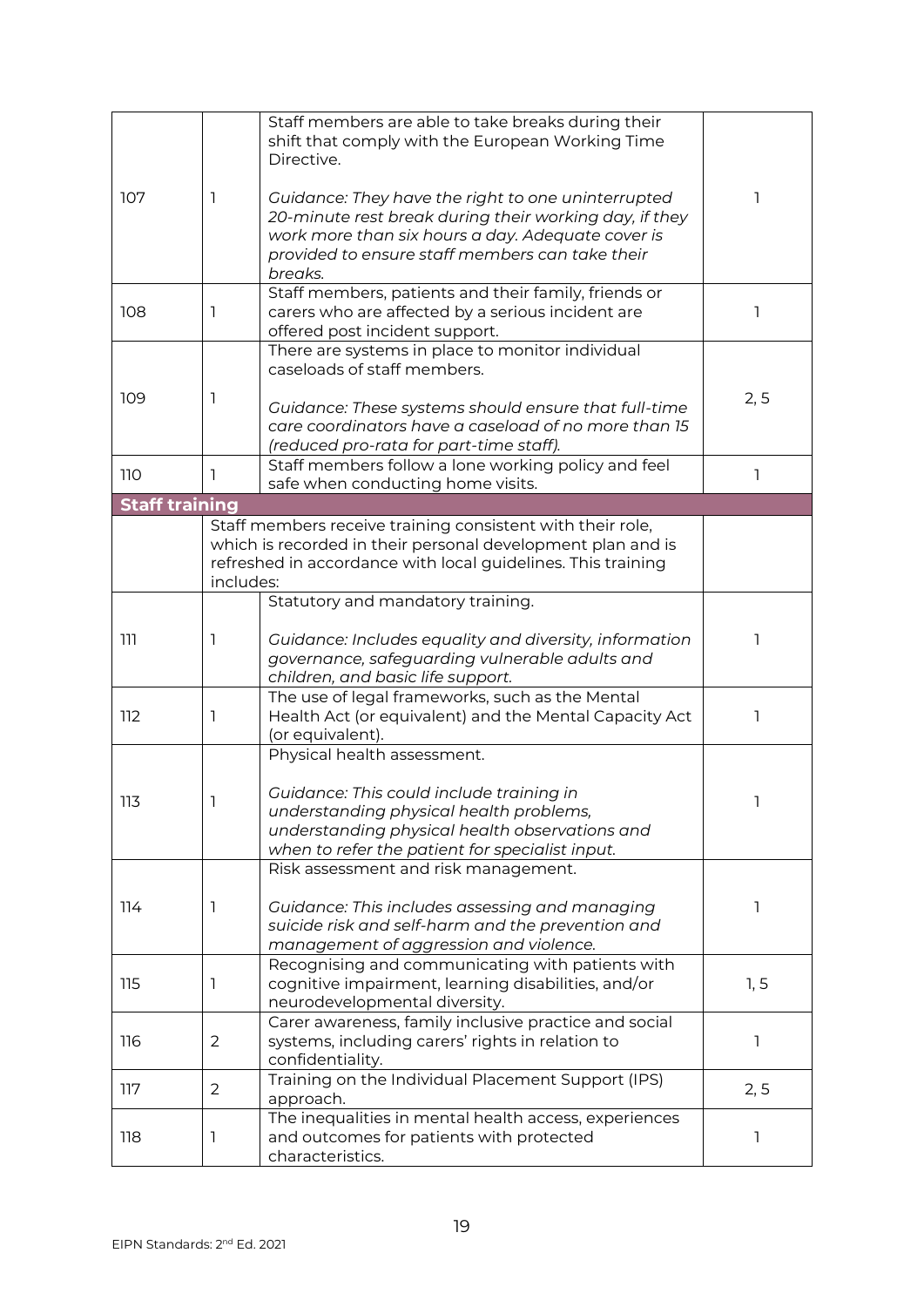|                       |                | Staff members are able to take breaks during their           |              |
|-----------------------|----------------|--------------------------------------------------------------|--------------|
|                       |                | shift that comply with the European Working Time             |              |
|                       |                | Directive.                                                   |              |
|                       |                |                                                              |              |
| 107                   | 1              | Guidance: They have the right to one uninterrupted           | ı            |
|                       |                | 20-minute rest break during their working day, if they       |              |
|                       |                | work more than six hours a day. Adequate cover is            |              |
|                       |                | provided to ensure staff members can take their              |              |
|                       |                | breaks.                                                      |              |
|                       |                | Staff members, patients and their family, friends or         |              |
| 108                   | 1              | carers who are affected by a serious incident are            |              |
|                       |                | offered post incident support.                               |              |
|                       |                | There are systems in place to monitor individual             |              |
|                       |                | caseloads of staff members.                                  |              |
|                       |                |                                                              |              |
| 109                   | 1              | Guidance: These systems should ensure that full-time         | 2, 5         |
|                       |                | care coordinators have a caseload of no more than 15         |              |
|                       |                | (reduced pro-rata for part-time staff).                      |              |
|                       |                | Staff members follow a lone working policy and feel          |              |
| 110                   | ı              | safe when conducting home visits.                            |              |
| <b>Staff training</b> |                |                                                              |              |
|                       |                | Staff members receive training consistent with their role,   |              |
|                       |                | which is recorded in their personal development plan and is  |              |
|                       |                | refreshed in accordance with local guidelines. This training |              |
|                       | includes:      |                                                              |              |
|                       |                | Statutory and mandatory training.                            |              |
|                       |                |                                                              |              |
| ווו                   | 1              | Guidance: Includes equality and diversity, information       |              |
|                       |                | governance, safeguarding vulnerable adults and               |              |
|                       |                | children, and basic life support.                            |              |
|                       |                | The use of legal frameworks, such as the Mental              |              |
| 112                   | 1              | Health Act (or equivalent) and the Mental Capacity Act       | $\mathbf{I}$ |
|                       |                | (or equivalent).                                             |              |
|                       |                | Physical health assessment.                                  |              |
|                       |                |                                                              |              |
|                       |                |                                                              |              |
| 113                   | ı              | Guidance: This could include training in                     | Τ.           |
|                       |                | understanding physical health problems,                      |              |
|                       |                | understanding physical health observations and               |              |
|                       |                | when to refer the patient for specialist input.              |              |
|                       |                | Risk assessment and risk management.                         |              |
|                       |                |                                                              |              |
| 114                   | 1              | Guidance: This includes assessing and managing               | 1            |
|                       |                | suicide risk and self-harm and the prevention and            |              |
|                       |                | management of aggression and violence.                       |              |
|                       |                | Recognising and communicating with patients with             |              |
| 115                   | 1              | cognitive impairment, learning disabilities, and/or          | 1, 5         |
|                       |                | neurodevelopmental diversity.                                |              |
|                       |                | Carer awareness, family inclusive practice and social        |              |
| 116                   | 2              | systems, including carers' rights in relation to             | ı            |
|                       |                | confidentiality.                                             |              |
| 117                   | $\overline{2}$ | Training on the Individual Placement Support (IPS)           | 2, 5         |
|                       |                | approach.                                                    |              |
|                       |                | The inequalities in mental health access, experiences        |              |
| 118                   | 1              | and outcomes for patients with protected                     | ı            |
|                       |                | characteristics.                                             |              |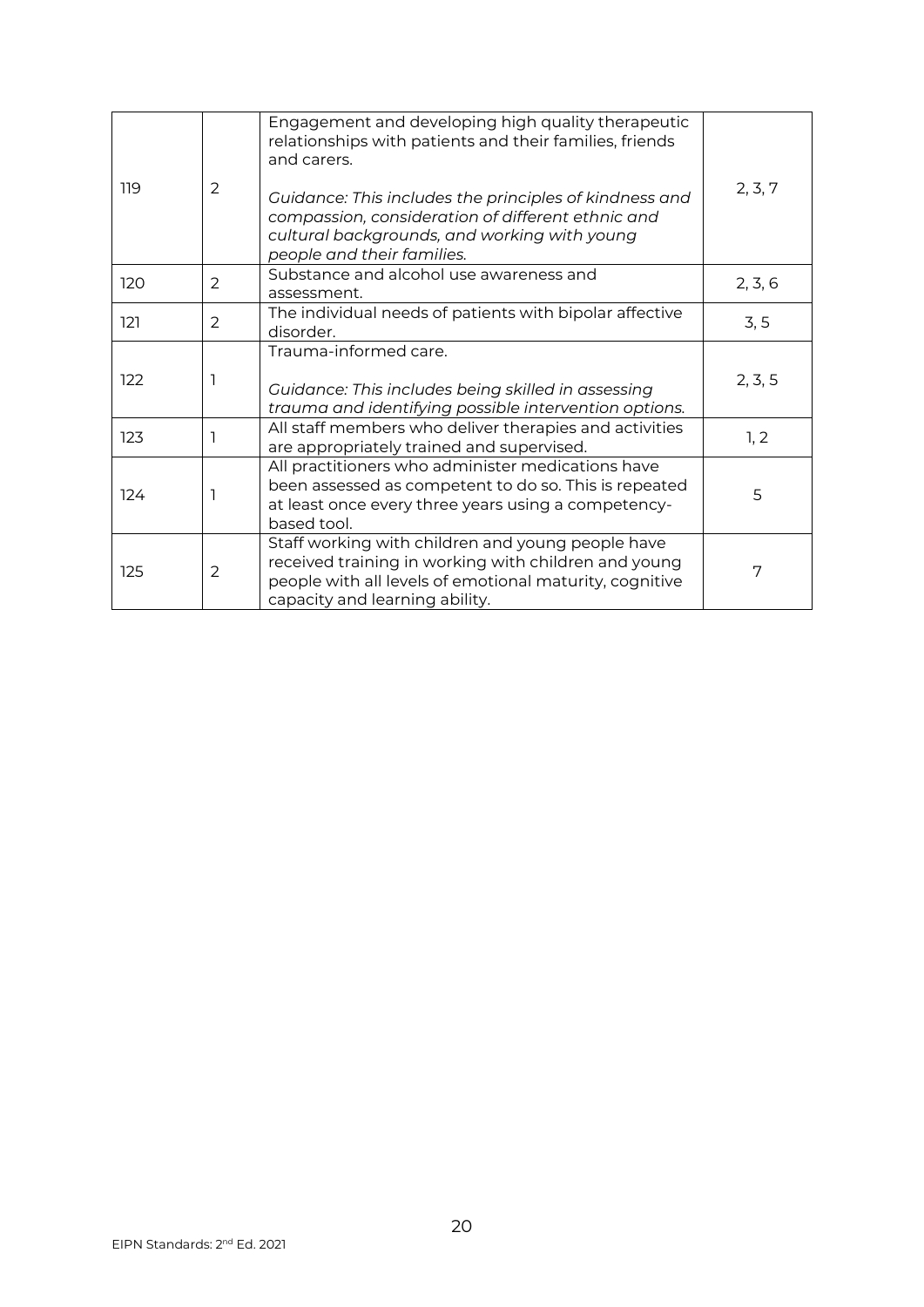| 119 | $\overline{2}$ | Engagement and developing high quality therapeutic<br>relationships with patients and their families, friends<br>and carers.<br>Guidance: This includes the principles of kindness and                 | 2, 3, 7 |
|-----|----------------|--------------------------------------------------------------------------------------------------------------------------------------------------------------------------------------------------------|---------|
|     |                | compassion, consideration of different ethnic and<br>cultural backgrounds, and working with young<br>people and their families.                                                                        |         |
| 120 | $\overline{2}$ | Substance and alcohol use awareness and<br>assessment.                                                                                                                                                 | 2, 3, 6 |
| 121 | $\overline{2}$ | The individual needs of patients with bipolar affective<br>disorder.                                                                                                                                   | 3, 5    |
| 122 |                | Trauma-informed care.<br>Guidance: This includes being skilled in assessing<br>trauma and identifying possible intervention options.                                                                   | 2, 3, 5 |
| 123 |                | All staff members who deliver therapies and activities<br>are appropriately trained and supervised.                                                                                                    | 1, 2    |
| 124 |                | All practitioners who administer medications have<br>been assessed as competent to do so. This is repeated<br>at least once every three years using a competency-<br>based tool.                       | 5       |
| 125 | 2              | Staff working with children and young people have<br>received training in working with children and young<br>people with all levels of emotional maturity, cognitive<br>capacity and learning ability. | 7       |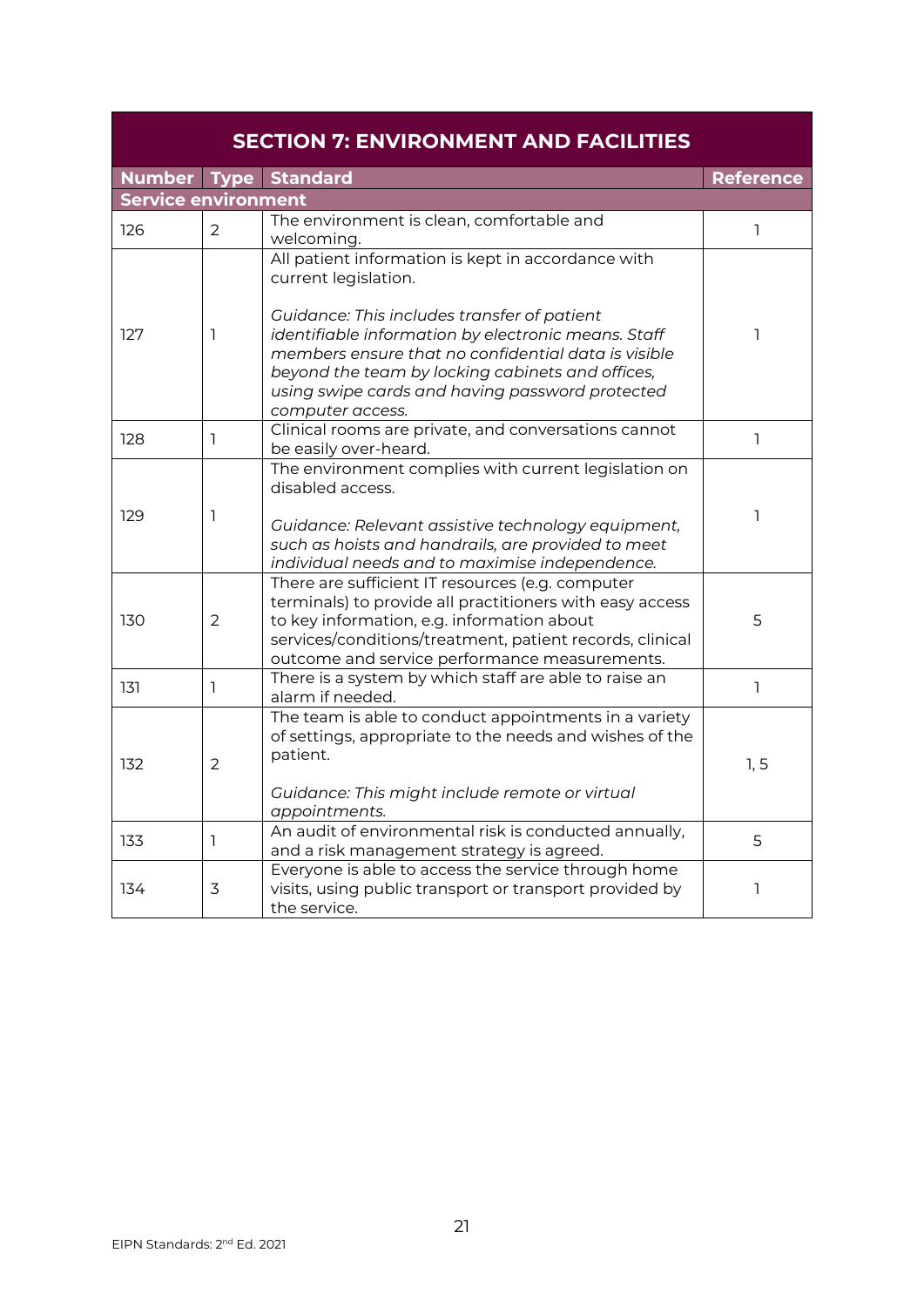<span id="page-20-0"></span>

| <b>SECTION 7: ENVIRONMENT AND FACILITIES</b> |                |                                                                                                                                                                                                                                                                                      |                  |
|----------------------------------------------|----------------|--------------------------------------------------------------------------------------------------------------------------------------------------------------------------------------------------------------------------------------------------------------------------------------|------------------|
|                                              |                | Number Type Standard                                                                                                                                                                                                                                                                 | <b>Reference</b> |
| <b>Service environment</b>                   |                |                                                                                                                                                                                                                                                                                      |                  |
| 126                                          | $\overline{2}$ | The environment is clean, comfortable and<br>welcoming.                                                                                                                                                                                                                              | 1                |
|                                              |                | All patient information is kept in accordance with<br>current legislation.                                                                                                                                                                                                           |                  |
| 127                                          | 1              | Guidance: This includes transfer of patient<br>identifiable information by electronic means. Staff<br>members ensure that no confidential data is visible<br>beyond the team by locking cabinets and offices,<br>using swipe cards and having password protected<br>computer access. | 1                |
| 128                                          | $\mathbf{1}$   | Clinical rooms are private, and conversations cannot<br>be easily over-heard.                                                                                                                                                                                                        | 1                |
| 129                                          | 1              | The environment complies with current legislation on<br>disabled access.<br>Guidance: Relevant assistive technology equipment,<br>such as hoists and handrails, are provided to meet<br>individual needs and to maximise independence.                                               | 1                |
| 130                                          | $\overline{2}$ | There are sufficient IT resources (e.g. computer<br>terminals) to provide all practitioners with easy access<br>to key information, e.g. information about<br>services/conditions/treatment, patient records, clinical<br>outcome and service performance measurements.              | 5                |
| 131                                          | 1              | There is a system by which staff are able to raise an<br>alarm if needed.                                                                                                                                                                                                            | I.               |
| 132                                          | $\overline{2}$ | The team is able to conduct appointments in a variety<br>of settings, appropriate to the needs and wishes of the<br>patient.<br>Guidance: This might include remote or virtual                                                                                                       | 1, 5             |
|                                              |                | appointments.                                                                                                                                                                                                                                                                        |                  |
| 133                                          | 1              | An audit of environmental risk is conducted annually,<br>and a risk management strategy is agreed.                                                                                                                                                                                   | 5                |
| 134                                          | 3              | Everyone is able to access the service through home<br>visits, using public transport or transport provided by<br>the service.                                                                                                                                                       | 1                |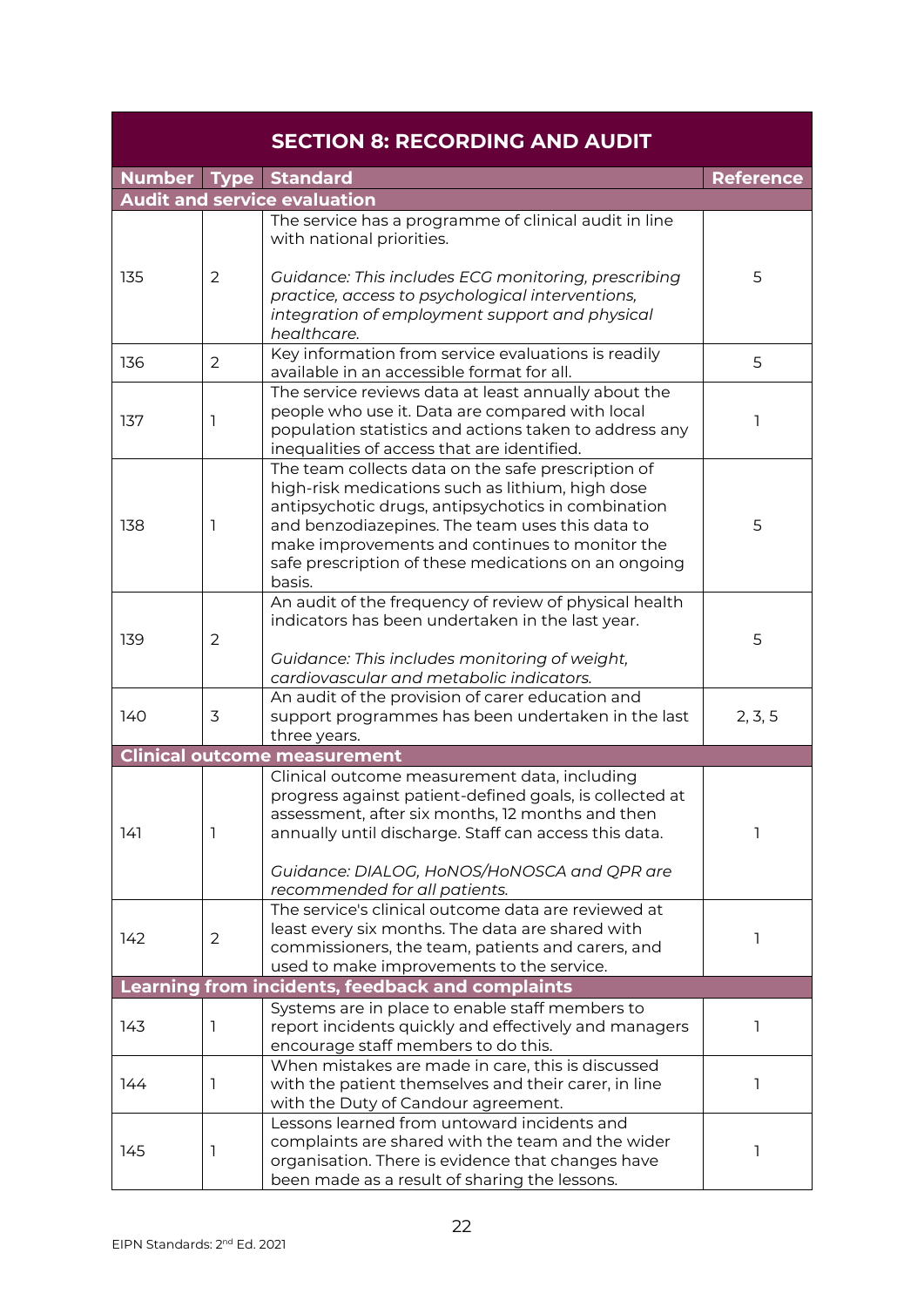<span id="page-21-0"></span>

| <b>SECTION 8: RECORDING AND AUDIT</b> |                |                                                                                                                                                                                                                                                                                                                                     |                  |  |
|---------------------------------------|----------------|-------------------------------------------------------------------------------------------------------------------------------------------------------------------------------------------------------------------------------------------------------------------------------------------------------------------------------------|------------------|--|
|                                       |                | Number Type Standard                                                                                                                                                                                                                                                                                                                | <b>Reference</b> |  |
|                                       |                | <b>Audit and service evaluation</b>                                                                                                                                                                                                                                                                                                 |                  |  |
| 135                                   | $\overline{2}$ | The service has a programme of clinical audit in line<br>with national priorities.<br>Guidance: This includes ECG monitoring, prescribing<br>practice, access to psychological interventions,                                                                                                                                       | 5                |  |
|                                       |                | integration of employment support and physical<br>healthcare.                                                                                                                                                                                                                                                                       |                  |  |
| 136                                   | 2              | Key information from service evaluations is readily<br>available in an accessible format for all.                                                                                                                                                                                                                                   | 5                |  |
| 137                                   | 1              | The service reviews data at least annually about the<br>people who use it. Data are compared with local<br>population statistics and actions taken to address any<br>inequalities of access that are identified.                                                                                                                    | 1                |  |
| 138                                   | 1              | The team collects data on the safe prescription of<br>high-risk medications such as lithium, high dose<br>antipsychotic drugs, antipsychotics in combination<br>and benzodiazepines. The team uses this data to<br>make improvements and continues to monitor the<br>safe prescription of these medications on an ongoing<br>basis. | 5                |  |
| 139                                   | $\overline{2}$ | An audit of the frequency of review of physical health<br>indicators has been undertaken in the last year.<br>Guidance: This includes monitoring of weight,<br>cardiovascular and metabolic indicators.                                                                                                                             | 5                |  |
| 140                                   | 3              | An audit of the provision of carer education and<br>support programmes has been undertaken in the last<br>three years.                                                                                                                                                                                                              | 2, 3, 5          |  |
|                                       |                | <b>Clinical outcome measurement</b>                                                                                                                                                                                                                                                                                                 |                  |  |
| 141                                   | 1              | Clinical outcome measurement data, including<br>progress against patient-defined goals, is collected at<br>assessment, after six months, 12 months and then<br>annually until discharge. Staff can access this data.                                                                                                                | 1                |  |
|                                       |                | Guidance: DIALOG, HoNOS/HoNOSCA and QPR are<br>recommended for all patients.                                                                                                                                                                                                                                                        |                  |  |
| 142                                   | 2              | The service's clinical outcome data are reviewed at<br>least every six months. The data are shared with<br>commissioners, the team, patients and carers, and<br>used to make improvements to the service.                                                                                                                           | 1                |  |
|                                       |                | Learning from incidents, feedback and complaints                                                                                                                                                                                                                                                                                    |                  |  |
| 143                                   | 1              | Systems are in place to enable staff members to<br>report incidents quickly and effectively and managers<br>encourage staff members to do this.                                                                                                                                                                                     | 1                |  |
| 144                                   | 1              | When mistakes are made in care, this is discussed<br>with the patient themselves and their carer, in line<br>with the Duty of Candour agreement.                                                                                                                                                                                    | 1                |  |
| 145                                   | 1              | Lessons learned from untoward incidents and<br>complaints are shared with the team and the wider<br>organisation. There is evidence that changes have<br>been made as a result of sharing the lessons.                                                                                                                              | 1                |  |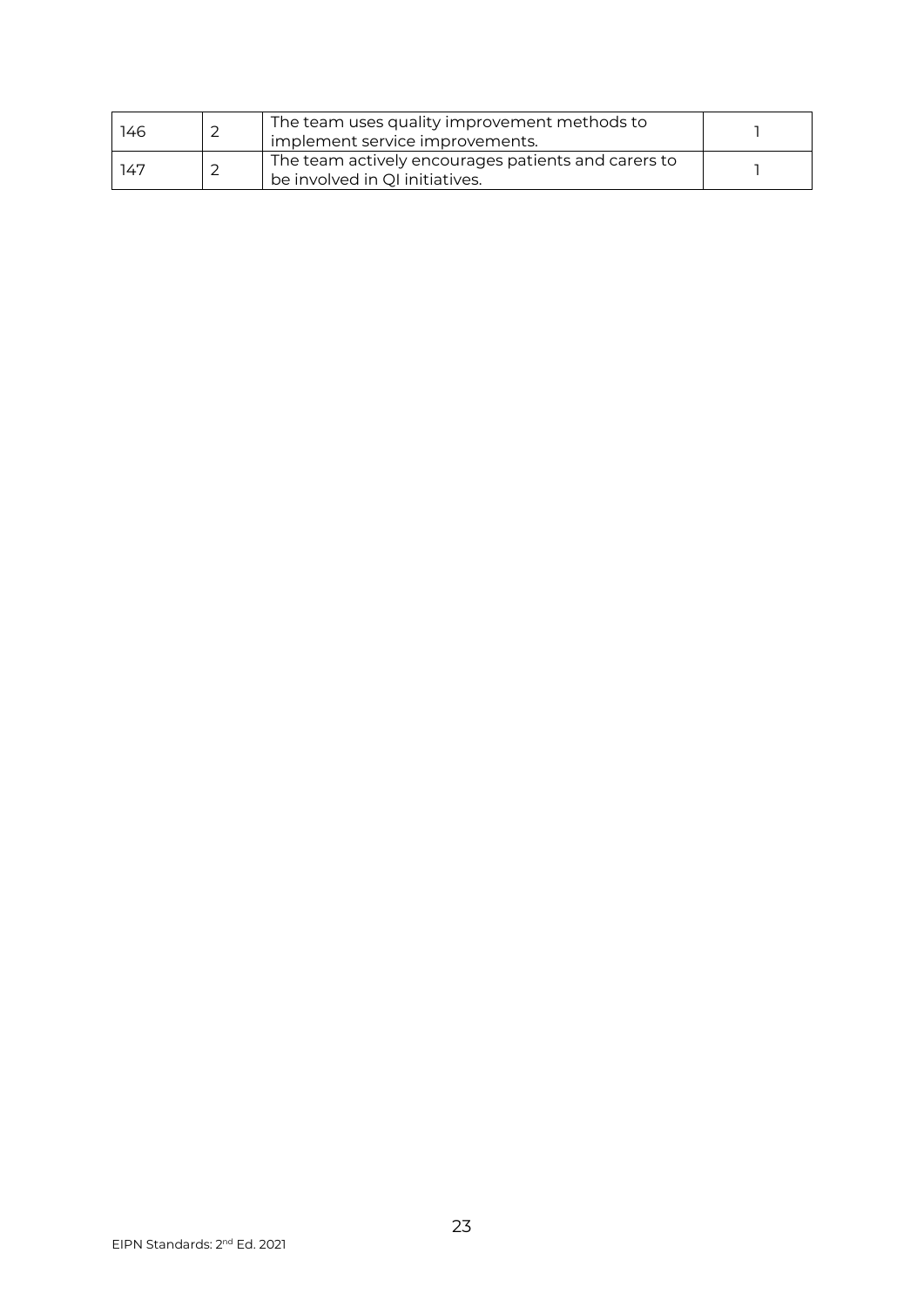| 146 | The team uses quality improvement methods to<br>implement service improvements.       |  |
|-----|---------------------------------------------------------------------------------------|--|
| 147 | The team actively encourages patients and carers to<br>be involved in QI initiatives. |  |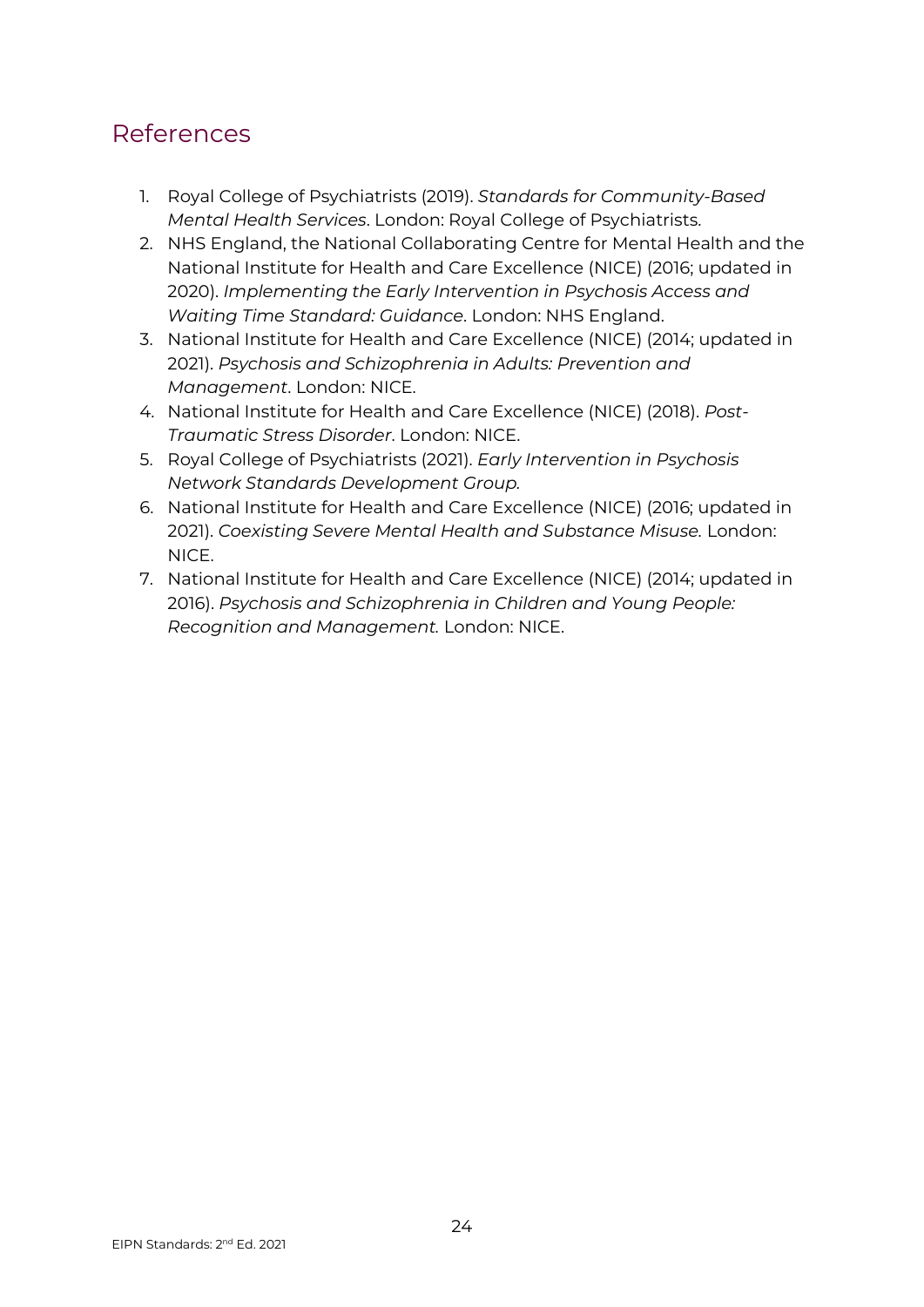## <span id="page-23-0"></span>References

- 1. Royal College of Psychiatrists (2019). *Standards for Community-Based Mental Health Services*. London: Royal College of Psychiatrists.
- 2. NHS England, the National Collaborating Centre for Mental Health and the National Institute for Health and Care Excellence (NICE) (2016; updated in 2020). *Implementing the Early Intervention in Psychosis Access and Waiting Time Standard: Guidance*. London: NHS England.
- 3. National Institute for Health and Care Excellence (NICE) (2014; updated in 2021). *Psychosis and Schizophrenia in Adults: Prevention and Management*. London: NICE.
- 4. National Institute for Health and Care Excellence (NICE) (2018). *Post-Traumatic Stress Disorder*. London: NICE.
- 5. Royal College of Psychiatrists (2021). *Early Intervention in Psychosis Network Standards Development Group.*
- 6. National Institute for Health and Care Excellence (NICE) (2016; updated in 2021). *Coexisting Severe Mental Health and Substance Misuse.* London: NICE.
- 7. National Institute for Health and Care Excellence (NICE) (2014; updated in 2016). *Psychosis and Schizophrenia in Children and Young People: Recognition and Management.* London: NICE.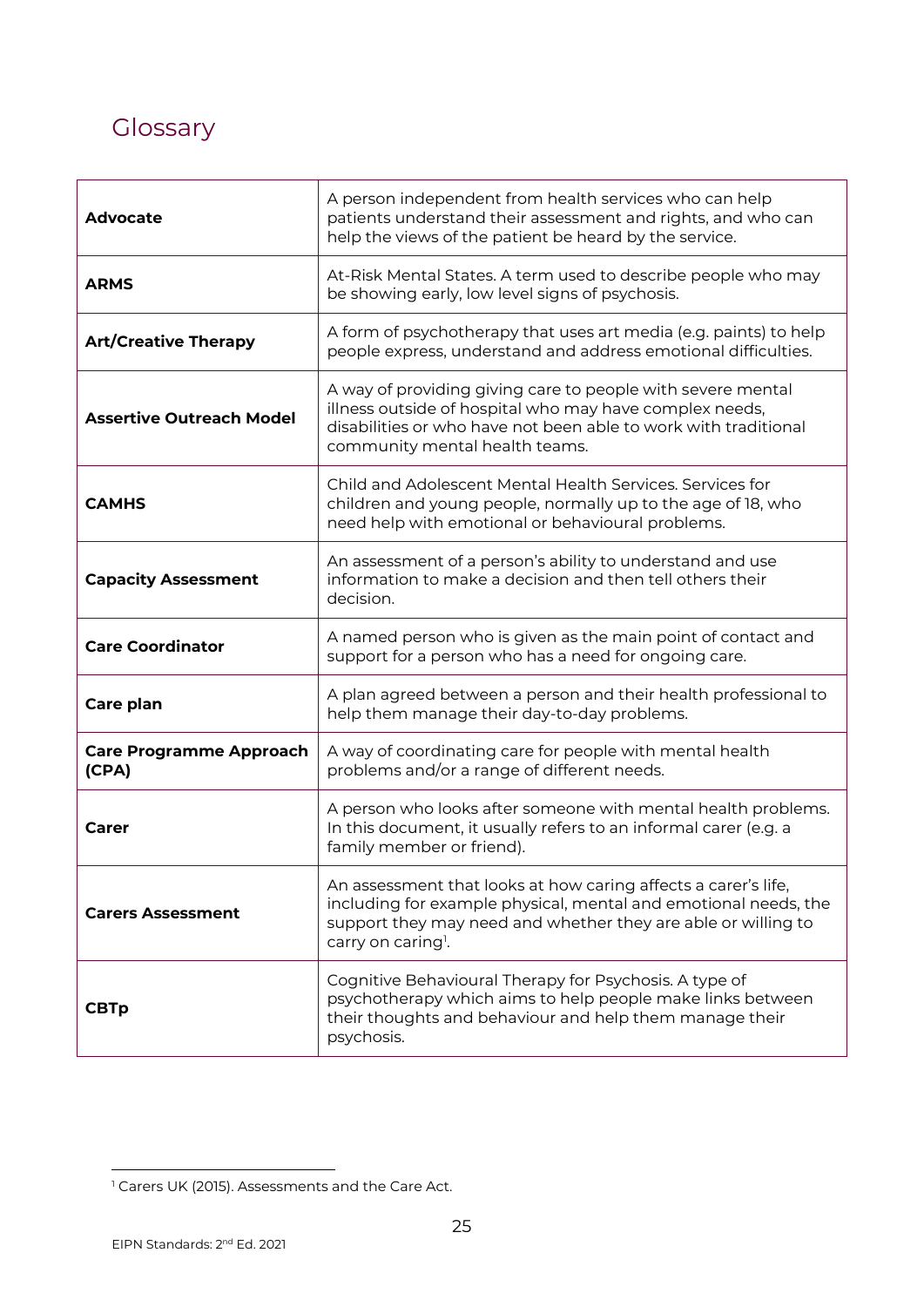# <span id="page-24-0"></span>**Glossary**

| Advocate                                | A person independent from health services who can help<br>patients understand their assessment and rights, and who can<br>help the views of the patient be heard by the service.                                                     |
|-----------------------------------------|--------------------------------------------------------------------------------------------------------------------------------------------------------------------------------------------------------------------------------------|
| <b>ARMS</b>                             | At-Risk Mental States. A term used to describe people who may<br>be showing early, low level signs of psychosis.                                                                                                                     |
| <b>Art/Creative Therapy</b>             | A form of psychotherapy that uses art media (e.g. paints) to help<br>people express, understand and address emotional difficulties.                                                                                                  |
| <b>Assertive Outreach Model</b>         | A way of providing giving care to people with severe mental<br>illness outside of hospital who may have complex needs,<br>disabilities or who have not been able to work with traditional<br>community mental health teams.          |
| <b>CAMHS</b>                            | Child and Adolescent Mental Health Services. Services for<br>children and young people, normally up to the age of 18, who<br>need help with emotional or behavioural problems.                                                       |
| <b>Capacity Assessment</b>              | An assessment of a person's ability to understand and use<br>information to make a decision and then tell others their<br>decision.                                                                                                  |
| <b>Care Coordinator</b>                 | A named person who is given as the main point of contact and<br>support for a person who has a need for ongoing care.                                                                                                                |
| Care plan                               | A plan agreed between a person and their health professional to<br>help them manage their day-to-day problems.                                                                                                                       |
| <b>Care Programme Approach</b><br>(CPA) | A way of coordinating care for people with mental health<br>problems and/or a range of different needs.                                                                                                                              |
| Carer                                   | A person who looks after someone with mental health problems.<br>In this document, it usually refers to an informal carer (e.g. a<br>family member or friend).                                                                       |
| <b>Carers Assessment</b>                | An assessment that looks at how caring affects a carer's life,<br>including for example physical, mental and emotional needs, the<br>support they may need and whether they are able or willing to<br>carry on caring <sup>1</sup> . |
| <b>CBTp</b>                             | Cognitive Behavioural Therapy for Psychosis. A type of<br>psychotherapy which aims to help people make links between<br>their thoughts and behaviour and help them manage their<br>psychosis.                                        |

<sup>&</sup>lt;sup>1</sup> Carers UK (2015). Assessments and the Care Act.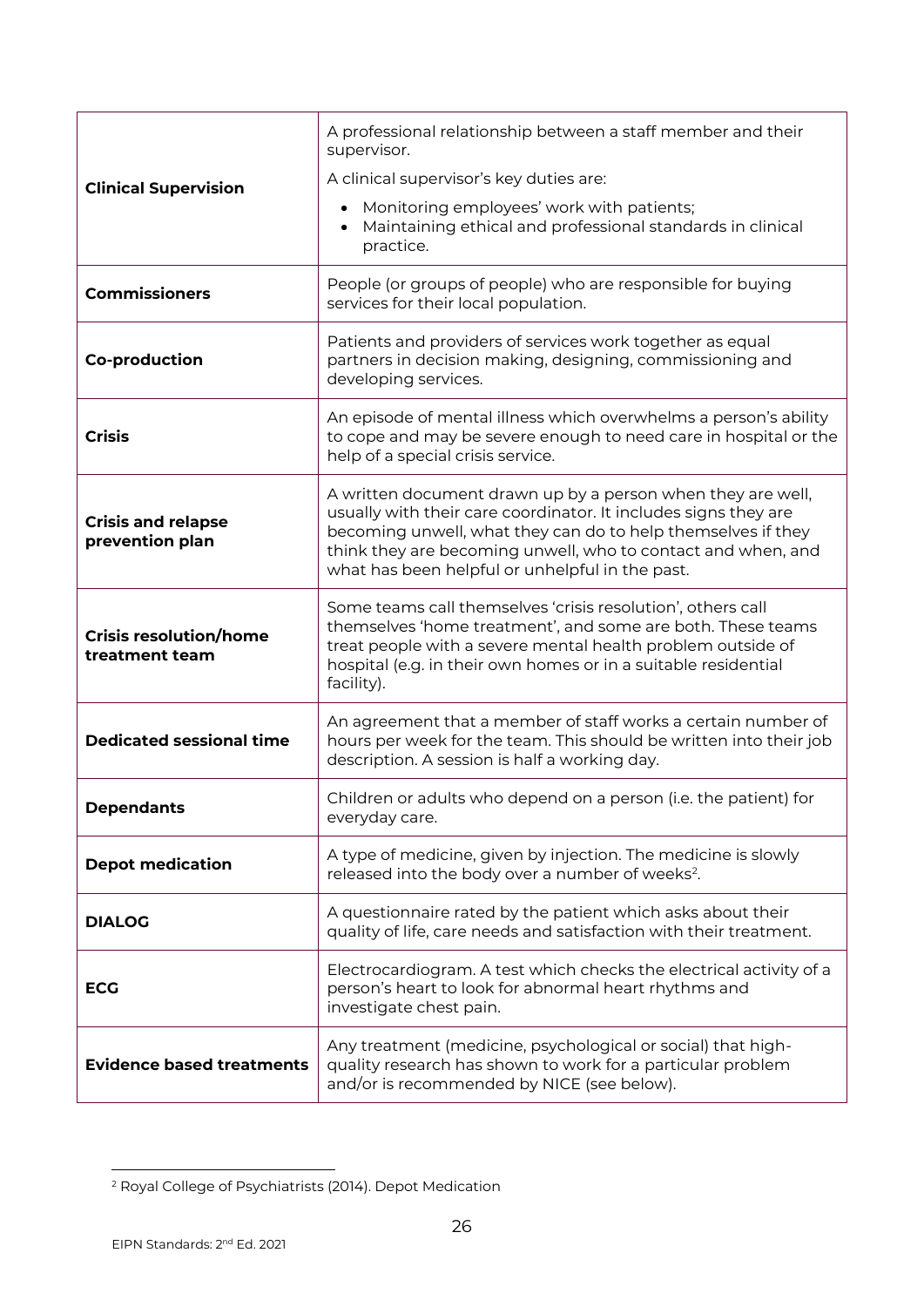|                                                 | A professional relationship between a staff member and their<br>supervisor.                                                                                                                                                                                                                                       |
|-------------------------------------------------|-------------------------------------------------------------------------------------------------------------------------------------------------------------------------------------------------------------------------------------------------------------------------------------------------------------------|
| <b>Clinical Supervision</b>                     | A clinical supervisor's key duties are:                                                                                                                                                                                                                                                                           |
|                                                 | Monitoring employees' work with patients;<br>Maintaining ethical and professional standards in clinical<br>practice.                                                                                                                                                                                              |
| <b>Commissioners</b>                            | People (or groups of people) who are responsible for buying<br>services for their local population.                                                                                                                                                                                                               |
| <b>Co-production</b>                            | Patients and providers of services work together as equal<br>partners in decision making, designing, commissioning and<br>developing services.                                                                                                                                                                    |
| <b>Crisis</b>                                   | An episode of mental illness which overwhelms a person's ability<br>to cope and may be severe enough to need care in hospital or the<br>help of a special crisis service.                                                                                                                                         |
| <b>Crisis and relapse</b><br>prevention plan    | A written document drawn up by a person when they are well,<br>usually with their care coordinator. It includes signs they are<br>becoming unwell, what they can do to help themselves if they<br>think they are becoming unwell, who to contact and when, and<br>what has been helpful or unhelpful in the past. |
| <b>Crisis resolution/home</b><br>treatment team | Some teams call themselves 'crisis resolution', others call<br>themselves 'home treatment', and some are both. These teams<br>treat people with a severe mental health problem outside of<br>hospital (e.g. in their own homes or in a suitable residential<br>facility).                                         |
| <b>Dedicated sessional time</b>                 | An agreement that a member of staff works a certain number of<br>hours per week for the team. This should be written into their job<br>description. A session is half a working day.                                                                                                                              |
| <b>Dependants</b>                               | Children or adults who depend on a person (i.e. the patient) for<br>everyday care.                                                                                                                                                                                                                                |
| <b>Depot medication</b>                         | A type of medicine, given by injection. The medicine is slowly<br>released into the body over a number of weeks <sup>2</sup> .                                                                                                                                                                                    |
| <b>DIALOG</b>                                   | A questionnaire rated by the patient which asks about their<br>quality of life, care needs and satisfaction with their treatment.                                                                                                                                                                                 |
| <b>ECG</b>                                      | Electrocardiogram. A test which checks the electrical activity of a<br>person's heart to look for abnormal heart rhythms and<br>investigate chest pain.                                                                                                                                                           |
| <b>Evidence based treatments</b>                | Any treatment (medicine, psychological or social) that high-<br>quality research has shown to work for a particular problem<br>and/or is recommended by NICE (see below).                                                                                                                                         |

<sup>2</sup> Royal College of Psychiatrists (2014). Depot Medication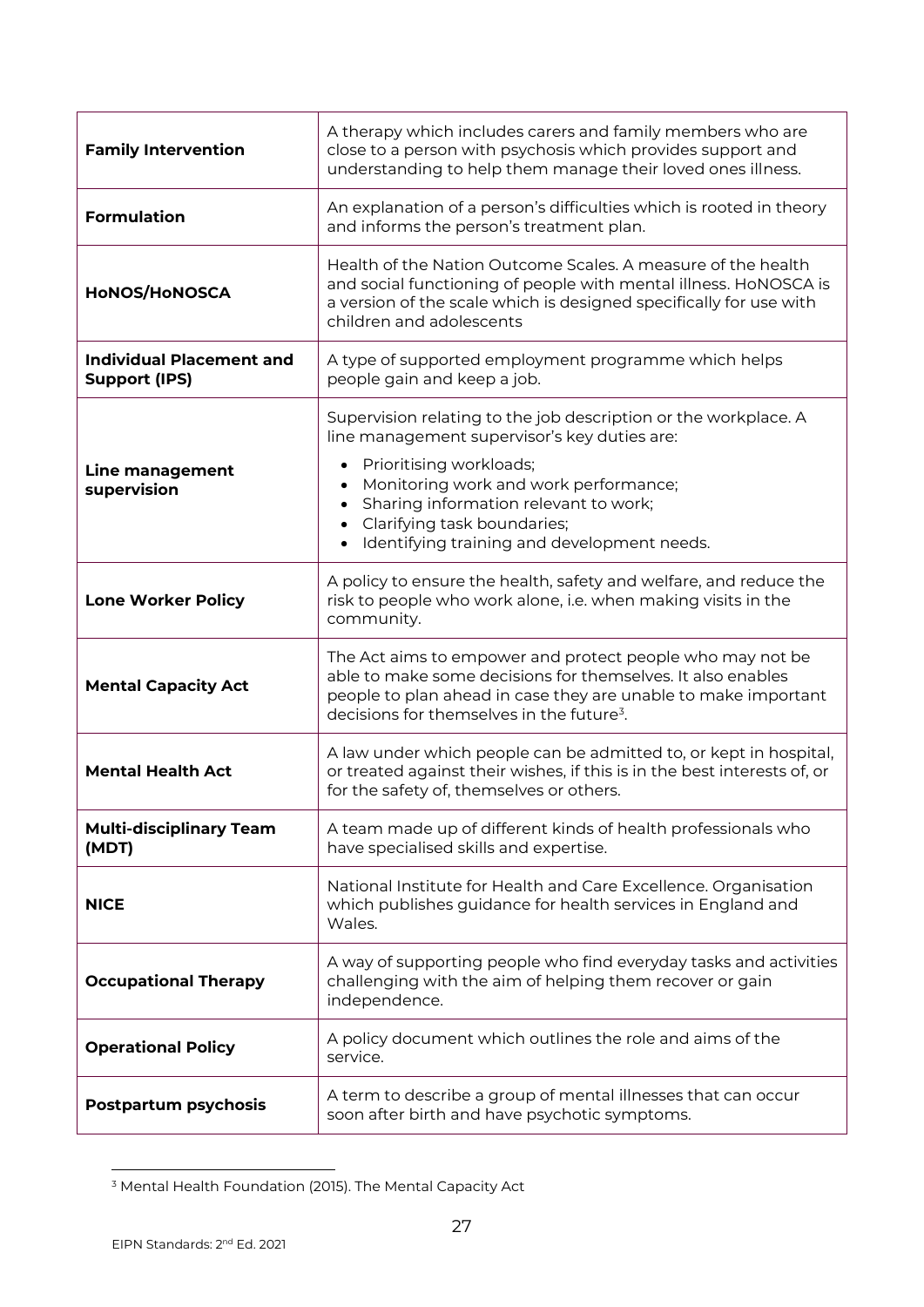| <b>Family Intervention</b>                              | A therapy which includes carers and family members who are<br>close to a person with psychosis which provides support and<br>understanding to help them manage their loved ones illness.                                                                                                                   |
|---------------------------------------------------------|------------------------------------------------------------------------------------------------------------------------------------------------------------------------------------------------------------------------------------------------------------------------------------------------------------|
| <b>Formulation</b>                                      | An explanation of a person's difficulties which is rooted in theory<br>and informs the person's treatment plan.                                                                                                                                                                                            |
| <b>HONOS/HONOSCA</b>                                    | Health of the Nation Outcome Scales. A measure of the health<br>and social functioning of people with mental illness. HoNOSCA is<br>a version of the scale which is designed specifically for use with<br>children and adolescents                                                                         |
| <b>Individual Placement and</b><br><b>Support (IPS)</b> | A type of supported employment programme which helps<br>people gain and keep a job.                                                                                                                                                                                                                        |
| Line management<br>supervision                          | Supervision relating to the job description or the workplace. A<br>line management supervisor's key duties are:<br>Prioritising workloads;<br>Monitoring work and work performance;<br>Sharing information relevant to work;<br>Clarifying task boundaries;<br>Identifying training and development needs. |
| <b>Lone Worker Policy</b>                               | A policy to ensure the health, safety and welfare, and reduce the<br>risk to people who work alone, i.e. when making visits in the<br>community.                                                                                                                                                           |
| <b>Mental Capacity Act</b>                              | The Act aims to empower and protect people who may not be<br>able to make some decisions for themselves. It also enables<br>people to plan ahead in case they are unable to make important<br>decisions for themselves in the future <sup>3</sup> .                                                        |
| <b>Mental Health Act</b>                                | A law under which people can be admitted to, or kept in hospital,<br>or treated against their wishes, if this is in the best interests of, or<br>for the safety of, themselves or others.                                                                                                                  |
| <b>Multi-disciplinary Team</b><br>(MDT)                 | A team made up of different kinds of health professionals who<br>have specialised skills and expertise.                                                                                                                                                                                                    |
| <b>NICE</b>                                             | National Institute for Health and Care Excellence. Organisation<br>which publishes guidance for health services in England and<br>Wales.                                                                                                                                                                   |
| <b>Occupational Therapy</b>                             | A way of supporting people who find everyday tasks and activities<br>challenging with the aim of helping them recover or gain<br>independence.                                                                                                                                                             |
| <b>Operational Policy</b>                               | A policy document which outlines the role and aims of the<br>service.                                                                                                                                                                                                                                      |
| <b>Postpartum psychosis</b>                             | A term to describe a group of mental illnesses that can occur<br>soon after birth and have psychotic symptoms.                                                                                                                                                                                             |

<sup>3</sup> Mental Health Foundation (2015). The Mental Capacity Act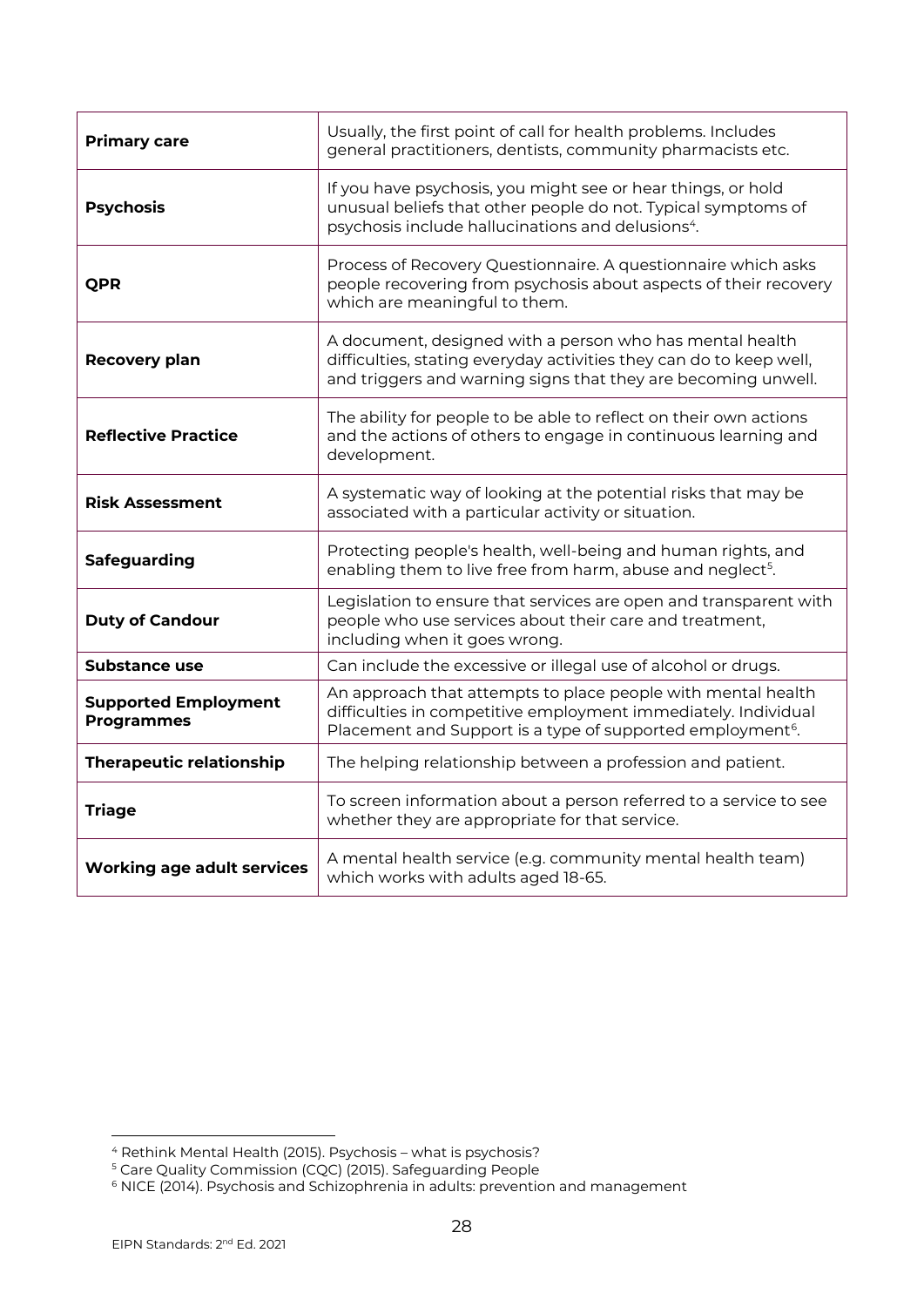| <b>Primary care</b>                              | Usually, the first point of call for health problems. Includes<br>general practitioners, dentists, community pharmacists etc.                                                                            |
|--------------------------------------------------|----------------------------------------------------------------------------------------------------------------------------------------------------------------------------------------------------------|
| <b>Psychosis</b>                                 | If you have psychosis, you might see or hear things, or hold<br>unusual beliefs that other people do not. Typical symptoms of<br>psychosis include hallucinations and delusions <sup>4</sup> .           |
| <b>QPR</b>                                       | Process of Recovery Questionnaire. A questionnaire which asks<br>people recovering from psychosis about aspects of their recovery<br>which are meaningful to them.                                       |
| <b>Recovery plan</b>                             | A document, designed with a person who has mental health<br>difficulties, stating everyday activities they can do to keep well,<br>and triggers and warning signs that they are becoming unwell.         |
| <b>Reflective Practice</b>                       | The ability for people to be able to reflect on their own actions<br>and the actions of others to engage in continuous learning and<br>development.                                                      |
| Risk Assessment                                  | A systematic way of looking at the potential risks that may be<br>associated with a particular activity or situation.                                                                                    |
| Safeguarding                                     | Protecting people's health, well-being and human rights, and<br>enabling them to live free from harm, abuse and neglect <sup>5</sup> .                                                                   |
| <b>Duty of Candour</b>                           | Legislation to ensure that services are open and transparent with<br>people who use services about their care and treatment,<br>including when it goes wrong.                                            |
| Substance use                                    | Can include the excessive or illegal use of alcohol or drugs.                                                                                                                                            |
| <b>Supported Employment</b><br><b>Programmes</b> | An approach that attempts to place people with mental health<br>difficulties in competitive employment immediately. Individual<br>Placement and Support is a type of supported employment <sup>6</sup> . |
| <b>Therapeutic relationship</b>                  | The helping relationship between a profession and patient.                                                                                                                                               |
| <b>Triage</b>                                    | To screen information about a person referred to a service to see<br>whether they are appropriate for that service.                                                                                      |
| <b>Working age adult services</b>                | A mental health service (e.g. community mental health team)<br>which works with adults aged 18-65.                                                                                                       |

<sup>4</sup> Rethink Mental Health (2015). Psychosis – what is psychosis?

<sup>&</sup>lt;sup>5</sup> Care Quality Commission (CQC) (2015). Safeguarding People

 $^6$  NICE (2014). Psychosis and Schizophrenia in adults: prevention and management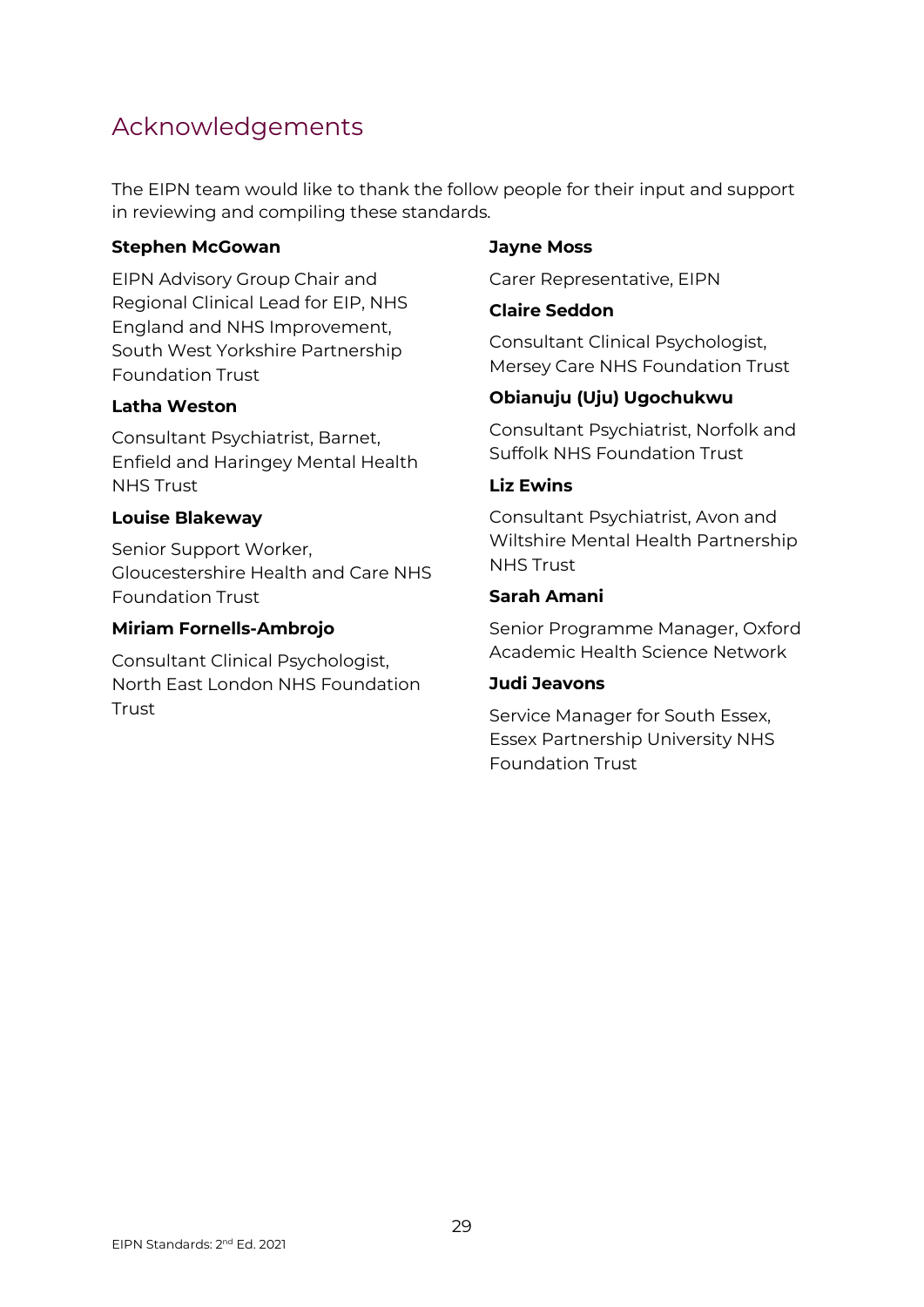## <span id="page-28-0"></span>Acknowledgements

The EIPN team would like to thank the follow people for their input and support in reviewing and compiling these standards.

#### **Stephen McGowan**

EIPN Advisory Group Chair and Regional Clinical Lead for EIP, NHS England and NHS Improvement, South West Yorkshire Partnership Foundation Trust

#### **Latha Weston**

Consultant Psychiatrist, Barnet, Enfield and Haringey Mental Health NHS Trust

#### **Louise Blakeway**

Senior Support Worker, Gloucestershire Health and Care NHS Foundation Trust

#### **Miriam Fornells-Ambrojo**

Consultant Clinical Psychologist, North East London NHS Foundation **Trust** 

#### **Jayne Moss**

Carer Representative, EIPN

#### **Claire Seddon**

Consultant Clinical Psychologist, Mersey Care NHS Foundation Trust

#### **Obianuju (Uju) Ugochukwu**

Consultant Psychiatrist, Norfolk and Suffolk NHS Foundation Trust

#### **Liz Ewins**

Consultant Psychiatrist, Avon and Wiltshire Mental Health Partnership NHS Trust

#### **Sarah Amani**

Senior Programme Manager, Oxford Academic Health Science Network

#### **Judi Jeavons**

Service Manager for South Essex, Essex Partnership University NHS Foundation Trust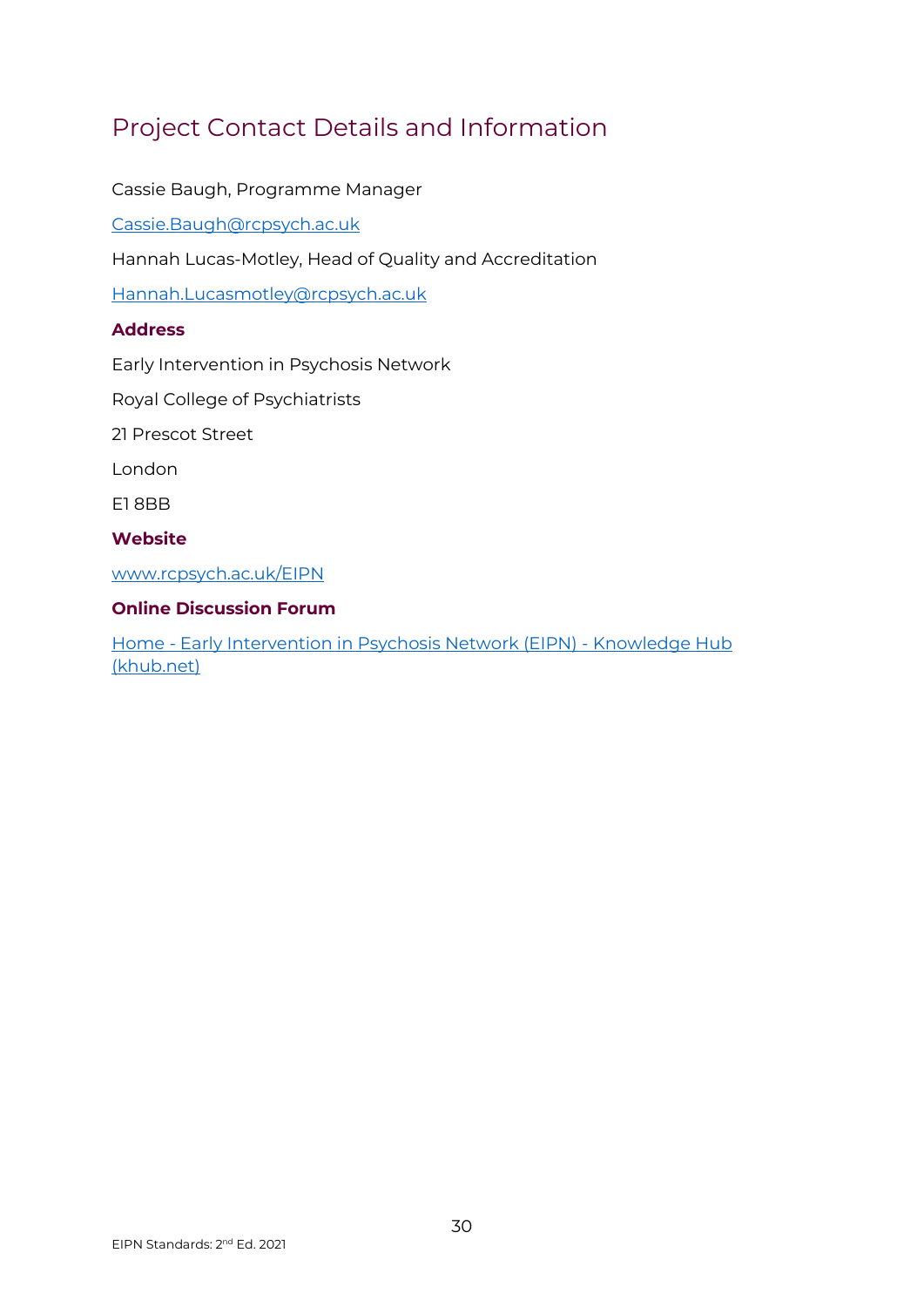# <span id="page-29-0"></span>Project Contact Details and Information

Cassie Baugh, Programme Manager

[Cassie.Baugh@rcpsych.ac.uk](mailto:Cassie.Baugh@rcpsych.ac.uk)

Hannah Lucas-Motley, Head of Quality and Accreditation

[Hannah.Lucasmotley@rcpsych.ac.uk](mailto:Hannah.Lucasmotley@rcpsych.ac.uk)

#### **Address**

Early Intervention in Psychosis Network

Royal College of Psychiatrists

21 Prescot Street

London

E1 8BB

#### **Website**

[www.rcpsych.ac.uk/EIPN](http://www.rcpsych.ac.uk/EIPN)

#### **Online Discussion Forum**

Home - [Early Intervention in Psychosis Network \(EIPN\) -](https://khub.net/group/early-intervention-in-psychosis-network-eipn) Knowledge Hub [\(khub.net\)](https://khub.net/group/early-intervention-in-psychosis-network-eipn)